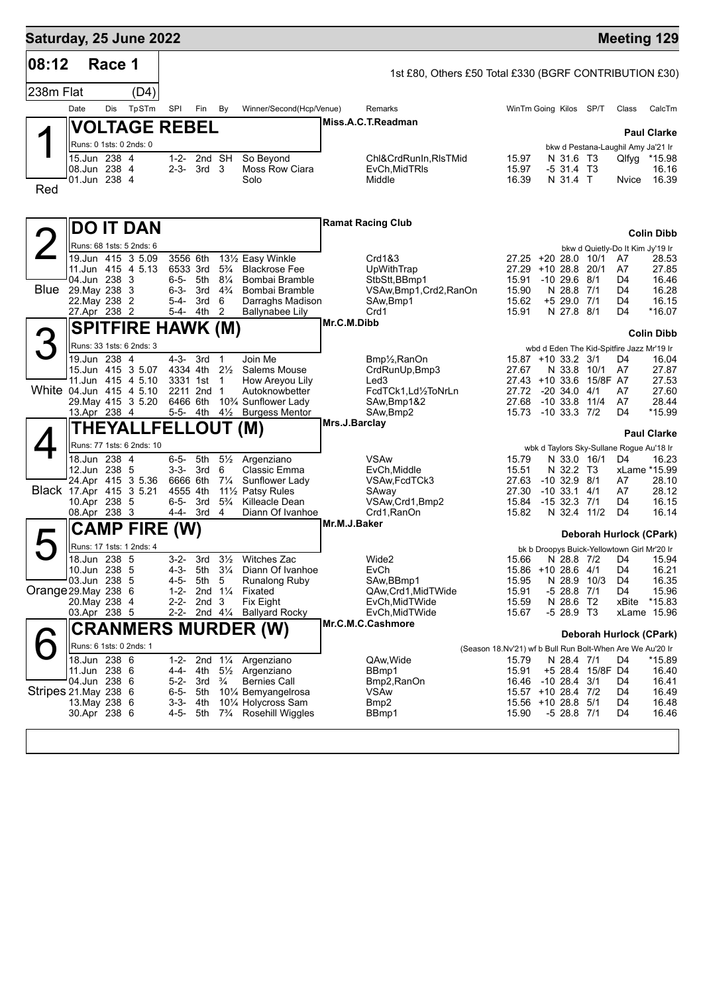| Saturday, 25 June 2022  |                               |        |                           |                        |                  |                                  |                                            |               |                                                           |                                                           |                                          |                                |                  |                                             | <b>Meeting 129</b>      |
|-------------------------|-------------------------------|--------|---------------------------|------------------------|------------------|----------------------------------|--------------------------------------------|---------------|-----------------------------------------------------------|-----------------------------------------------------------|------------------------------------------|--------------------------------|------------------|---------------------------------------------|-------------------------|
| 08:12                   |                               | Race 1 |                           |                        |                  |                                  |                                            |               | 1st £80, Others £50 Total £330 (BGRF CONTRIBUTION £30)    |                                                           |                                          |                                |                  |                                             |                         |
| 238m Flat               |                               |        | (D4)                      |                        |                  |                                  |                                            |               |                                                           |                                                           |                                          |                                |                  |                                             |                         |
|                         | Date                          | Dis    | TpSTm                     | SPI                    | Fin              | By                               | Winner/Second(Hcp/Venue)                   |               | Remarks                                                   |                                                           | WinTm Going Kilos SP/T                   |                                |                  | Class                                       | CalcTm                  |
|                         |                               |        | <b> VOLTAGE REBEL</b>     |                        |                  |                                  |                                            |               | Miss.A.C.T.Readman                                        |                                                           |                                          |                                |                  |                                             |                         |
|                         |                               |        | Runs: 0 1sts: 0 2nds: 0   |                        |                  |                                  |                                            |               |                                                           |                                                           |                                          |                                |                  |                                             | <b>Paul Clarke</b>      |
|                         | 15.Jun 238 4                  |        |                           |                        | 1-2- 2nd SH      |                                  | So Beyond                                  |               | Chl&CrdRunIn, RIsTMid                                     |                                                           | 15.97                                    | N 31.6 T3                      |                  | bkw d Pestana-Laughil Amy Ja'21 Ir<br>Qlfyg | *15.98                  |
|                         | 08.Jun 238 4<br>01.Jun 238 4  |        |                           | 2-3-                   | 3rd 3            |                                  | Moss Row Ciara<br>Solo                     |               | EvCh.MidTRIs<br>Middle                                    |                                                           | 15.97<br>16.39                           | -5 31.4 T3<br>N 31.4 T         |                  | Nvice                                       | 16.16<br>16.39          |
| Red                     |                               |        |                           |                        |                  |                                  |                                            |               |                                                           |                                                           |                                          |                                |                  |                                             |                         |
|                         |                               |        |                           |                        |                  |                                  |                                            |               |                                                           |                                                           |                                          |                                |                  |                                             |                         |
|                         |                               |        | <b>DO IT DAN</b>          |                        |                  |                                  |                                            |               | <b>Ramat Racing Club</b>                                  |                                                           |                                          |                                |                  |                                             |                         |
|                         |                               |        | Runs: 68 1sts: 5 2nds: 6  |                        |                  |                                  |                                            |               |                                                           |                                                           |                                          |                                |                  |                                             | <b>Colin Dibb</b>       |
|                         |                               |        | 19.Jun 415 3 5.09         | 3556 6th               |                  |                                  | 131/2 Easy Winkle                          |               | Crd1&3                                                    |                                                           | 27.25 +20 28.0 10/1                      |                                |                  | bkw d Quietly-Do It Kim Jy'19 Ir<br>A7      | 28.53                   |
|                         |                               |        | 11.Jun 415 4 5.13         | 6533 3rd               |                  | $5\frac{3}{4}$                   | <b>Blackrose Fee</b>                       |               | UpWithTrap                                                |                                                           | 27.29                                    | +10 28.8 20/1                  |                  | A7                                          | 27.85                   |
| <b>Blue</b>             | 04.Jun 238 3<br>29. May 238 3 |        |                           | $6 - 5 -$<br>$6 - 3 -$ | 5th<br>3rd       | $8\frac{1}{4}$<br>$4\frac{3}{4}$ | Bombai Bramble<br>Bombai Bramble           |               | StbStt,BBmp1<br>VSAw,Bmp1,Crd2,RanOn                      |                                                           | 15.91<br>15.90                           | $-10$ 29.6 $8/1$<br>N 28.8 7/1 |                  | D4<br>D <sub>4</sub>                        | 16.46<br>16.28          |
|                         | 22. May 238 2                 |        |                           | 5-4-                   | 3rd              | 6                                | Darraghs Madison                           |               | SAw, Bmp1                                                 |                                                           | 15.62                                    | +5 29.0 7/1                    |                  | D4                                          | 16.15                   |
|                         | 27.Apr 238 2                  |        |                           | 5-4-                   | 4th              | 2                                | <b>Ballynabee Lily</b>                     | Mr.C.M.Dibb   | Crd1                                                      |                                                           | 15.91                                    | N 27.8 8/1                     |                  | D <sub>4</sub>                              | $*16.07$                |
|                         |                               |        | <b>SPITFIRE HAWK (M)</b>  |                        |                  |                                  |                                            |               |                                                           |                                                           |                                          |                                |                  |                                             | <b>Colin Dibb</b>       |
| З                       |                               |        | Runs: 33 1sts: 6 2nds: 3  |                        |                  |                                  |                                            |               |                                                           |                                                           |                                          |                                |                  | wbd d Eden The Kid-Spitfire Jazz Mr'19 Ir   |                         |
|                         | 19.Jun 238 4                  |        | 15.Jun 415 3 5.07         | $4 - 3 -$<br>4334 4th  | 3rd              | $\mathbf{1}$<br>$2\frac{1}{2}$   | Join Me<br>Salems Mouse                    |               | Bmp <sup>1</sup> / <sub>2</sub> , RanOn<br>CrdRunUp, Bmp3 |                                                           | 15.87 +10 33.2 3/1<br>27.67              | N 33.8                         | 10/1             | D4<br>A7                                    | 16.04<br>27.87          |
|                         |                               |        | 11.Jun 415 4 5.10         | 3331 1st               |                  | $\mathbf{1}$                     | How Areyou Lily                            |               | Led <sub>3</sub>                                          |                                                           | $27.43 + 10.336$                         |                                | 15/8F A7         |                                             | 27.53                   |
| White 04.Jun 415 4 5.10 |                               |        | 29. May 415 3 5.20        | 2211 2nd<br>6466 6th   |                  | $\mathbf{1}$                     | Autoknowbetter<br>10% Sunflower Lady       |               | FcdTCk1,Ld1/2ToNrLn<br>SAw,Bmp1&2                         |                                                           | 27.72<br>27.68                           | $-20, 34.0$<br>$-10.33.8$      | 4/1<br>11/4      | A7<br>A7                                    | 27.60<br>28.44          |
|                         | 13.Apr 238 4                  |        |                           | 5-5- 4th               |                  | $4\frac{1}{2}$                   | <b>Burgess Mentor</b>                      |               | SAw, Bmp2                                                 |                                                           | 15.73                                    | $-10$ 33.3 $7/2$               |                  | D <sub>4</sub>                              | *15.99                  |
|                         |                               |        | <b>THEYALLFELLOUT (M)</b> |                        |                  |                                  |                                            | Mrs.J.Barclay |                                                           |                                                           |                                          |                                |                  |                                             | <b>Paul Clarke</b>      |
|                         |                               |        | Runs: 77 1sts: 6 2nds: 10 |                        |                  |                                  |                                            |               |                                                           |                                                           |                                          |                                |                  | wbk d Taylors Sky-Sullane Rogue Au'18 Ir    |                         |
|                         | 18.Jun 238 4                  |        |                           | $6 - 5 -$              | 5th              | $5\frac{1}{2}$                   | Argenziano                                 |               | <b>VSAw</b>                                               |                                                           | 15.79                                    | N 33.0 16/1                    |                  | D4                                          | 16.23                   |
|                         | 12.Jun 238 5                  |        | 24.Apr 415 3 5.36         | 3-3-<br>6666 6th       | 3rd              | 6<br>$7\frac{1}{4}$              | Classic Emma<br>Sunflower Lady             |               | EvCh, Middle<br>VSAw, FcdTCk3                             |                                                           | 15.51<br>27.63                           | N 32.2 T3<br>$-10$ 32.9 $8/1$  |                  | A7                                          | xLame *15.99<br>28.10   |
| Black 17.Apr 415 3 5.21 |                               |        |                           | 4555 4th               |                  |                                  | 11 <sup>1</sup> / <sub>2</sub> Patsy Rules |               | SAway                                                     |                                                           | 27.30                                    | $-10$ 33.1 $4/1$               |                  | A7                                          | 28.12                   |
|                         | 10.Apr 238 5<br>08.Apr 238 3  |        |                           | 6-5-<br>4-4-           | 3rd<br>3rd       | $5\frac{3}{4}$<br>4              | Killeacle Dean<br>Diann Of Ivanhoe         |               | VSAw, Crd1, Bmp2<br>Crd1, RanOn                           |                                                           | 15.84<br>15.82                           | $-1532.371$<br>N 32.4          | 11/2             | D4<br>D4                                    | 16.15<br>16.14          |
|                         |                               |        | <b>CAMP FIRE</b>          | (W)                    |                  |                                  |                                            | Mr.M.J.Baker  |                                                           |                                                           |                                          |                                |                  |                                             |                         |
|                         |                               |        | Runs: 17 1sts: 1 2nds: 4  |                        |                  |                                  |                                            |               |                                                           |                                                           |                                          |                                |                  |                                             | Deborah Hurlock (CPark) |
|                         | 18.Jun 238 5                  |        |                           | $3 - 2 -$              | 3rd              | $3\frac{1}{2}$                   | Witches Zac                                |               | Wide2                                                     |                                                           | 15.66                                    |                                | N 28.8 7/2 D4    | bk b Droopys Buick-Yellowtown Girl Mr'20 Ir | 15.94                   |
|                         | 10.Jun 238 5                  |        |                           | 4-3-                   | 5th              | $3\frac{1}{4}$                   | Diann Of Ivanhoe                           |               | EvCh                                                      |                                                           | 15.86 +10 28.6 4/1                       |                                |                  | D4                                          | 16.21                   |
| Orange 29. May 238 6    | 03.Jun 238 5                  |        |                           | 4-5-<br>$1 - 2 -$      | 5th              | 5<br>2nd $1\frac{1}{4}$          | <b>Runalong Ruby</b><br>Fixated            |               | SAw, BBmp1<br>QAw,Crd1,MidTWide                           |                                                           | 15.95<br>15.91                           | N 28.9 10/3<br>$-528.87/1$     |                  | D4<br>D4                                    | 16.35<br>15.96          |
|                         | 20.May 238 4                  |        |                           | $2 - 2 -$              | 2nd <sub>3</sub> |                                  | <b>Fix Eight</b>                           |               | EvCh, Mid TWide                                           |                                                           | 15.59                                    | N 28.6 T2                      |                  | xBite                                       | $*15.83$                |
|                         | 03.Apr 238 5                  |        |                           | $2 - 2 -$              |                  | 2nd $4\frac{1}{4}$               | <b>Ballyard Rocky</b>                      |               | EvCh, Mid TWide<br>Mr.C.M.C.Cashmore                      |                                                           | 15.67                                    | $-528.9$ T3                    |                  |                                             | xLame 15.96             |
|                         |                               |        |                           |                        |                  |                                  | <b>CRANMERS MURDER (W)</b>                 |               |                                                           |                                                           |                                          |                                |                  |                                             | Deborah Hurlock (CPark) |
|                         |                               |        | Runs: 6 1sts: 0 2nds: 1   |                        |                  |                                  |                                            |               |                                                           | (Season 18.Nv'21) wf b Bull Run Bolt-When Are We Au'20 Ir |                                          |                                |                  |                                             |                         |
|                         | 18.Jun 238 6<br>11.Jun 238 6  |        |                           | $1 - 2 -$<br>4-4-      | 2nd<br>4th       | $1\frac{1}{4}$<br>$5\frac{1}{2}$ | Argenziano<br>Argenziano                   |               | QAw, Wide<br>BBmp1                                        |                                                           | 15.79<br>15.91                           | N 28.4 7/1                     | +5 28.4 15/8F D4 | D4                                          | *15.89<br>16.40         |
|                         | 04.Jun 238 6                  |        |                           | $5 - 2 -$              | 3rd              | $\frac{3}{4}$                    | <b>Bernies Call</b>                        |               | Bmp2, RanOn                                               |                                                           | 16.46                                    | $-10$ 28.4 $3/1$               |                  | D4                                          | 16.41                   |
| Stripes 21. May 238 6   | 13. May 238 6                 |        |                           | $6 - 5 -$<br>$3 - 3 -$ | 5th<br>4th       |                                  | 10% Bemyangelrosa<br>101⁄4 Holycross Sam   |               | <b>VSAw</b><br>Bmp2                                       |                                                           | 15.57 +10 28.4 7/2<br>15.56 +10 28.8 5/1 |                                |                  | D4<br>D4                                    | 16.49<br>16.48          |
|                         | 30.Apr 238 6                  |        |                           | 4-5-                   | 5th              |                                  | 73/4 Rosehill Wiggles                      |               | BBmp1                                                     |                                                           | 15.90                                    | $-528.87/1$                    |                  | D4                                          | 16.46                   |
|                         |                               |        |                           |                        |                  |                                  |                                            |               |                                                           |                                                           |                                          |                                |                  |                                             |                         |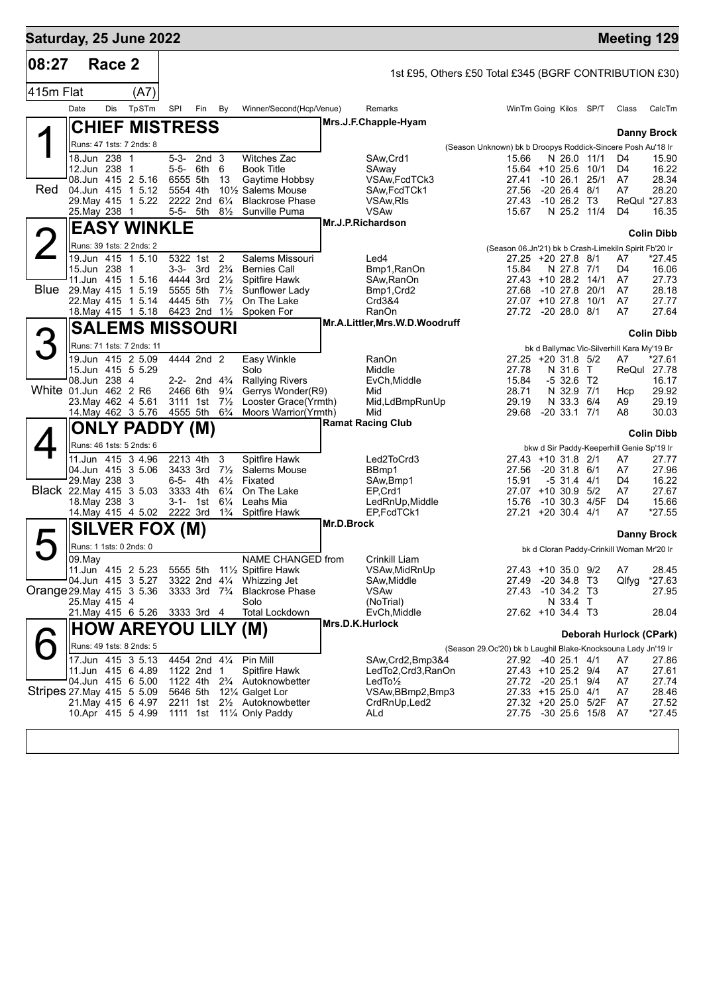| Saturday, 25 June 2022     |                                          |        |       |                          |                                        |                                  |                                                                               |                 |                                                        |                                                                      |  |                                          |                                            | <b>Meeting 129</b>                         |                    |
|----------------------------|------------------------------------------|--------|-------|--------------------------|----------------------------------------|----------------------------------|-------------------------------------------------------------------------------|-----------------|--------------------------------------------------------|----------------------------------------------------------------------|--|------------------------------------------|--------------------------------------------|--------------------------------------------|--------------------|
| 08:27                      |                                          | Race 2 |       |                          |                                        |                                  |                                                                               |                 | 1st £95, Others £50 Total £345 (BGRF CONTRIBUTION £30) |                                                                      |  |                                          |                                            |                                            |                    |
| 415m Flat                  |                                          |        | (A7)  |                          |                                        |                                  |                                                                               |                 |                                                        |                                                                      |  |                                          |                                            |                                            |                    |
|                            | Date                                     | Dis    | TpSTm | SPI                      | Fin                                    | By                               | Winner/Second(Hcp/Venue)                                                      |                 | Remarks                                                |                                                                      |  | WinTm Going Kilos SP/T                   |                                            | Class                                      | CalcTm             |
|                            | <b>CHIEF MISTRESS</b>                    |        |       |                          |                                        |                                  |                                                                               |                 | Mrs.J.F.Chapple-Hyam                                   |                                                                      |  |                                          |                                            |                                            |                    |
|                            | Runs: 47 1sts: 7 2nds: 8                 |        |       |                          |                                        |                                  |                                                                               |                 |                                                        |                                                                      |  |                                          |                                            |                                            | <b>Danny Brock</b> |
|                            | 18.Jun 238 1                             |        |       |                          | 5-3- 2nd 3                             |                                  | <b>Witches Zac</b>                                                            |                 | SAw, Crd1                                              | (Season Unknown) bk b Droopys Roddick-Sincere Posh Au'18 Ir<br>15.66 |  | N 26.0 11/1                              |                                            | D4                                         | 15.90              |
|                            | 12.Jun 238 1                             |        |       | 5-5-                     | 6th                                    | 6                                | <b>Book Title</b>                                                             |                 | SAway                                                  |                                                                      |  | 15.64 +10 25.6 10/1                      |                                            | D4                                         | 16.22              |
| <b>Red</b>                 | 08.Jun 415 2 5.16<br>04.Jun 415 1 5.12   |        |       | 6555 5th<br>5554 4th     |                                        | 13                               | Gaytime Hobbsy<br>10 <sup>1</sup> / <sub>2</sub> Salems Mouse                 |                 | VSAw, FcdTCk3<br>SAw.FcdTCk1                           | 27.41<br>27.56                                                       |  | $-10\,26.1$<br>$-20$ 26.4 $8/1$          | 25/1                                       | A7<br>A7                                   | 28.34<br>28.20     |
|                            | 29. May 415 1 5.22                       |        |       | 2222 2nd 61/4            |                                        |                                  | <b>Blackrose Phase</b>                                                        |                 | VSAw, RIs                                              | 27.43                                                                |  | $-10, 26.2, 13$                          |                                            |                                            | ReQul *27.83       |
|                            | 25. May 238 1                            |        |       | 5-5- 5th                 |                                        | $8\frac{1}{2}$                   | Sunville Puma                                                                 |                 | <b>VSAw</b><br>Mr.J.P.Richardson                       | 15.67                                                                |  |                                          | N 25.2 11/4                                | D <sub>4</sub>                             | 16.35              |
|                            | <b>EASY WINKLE</b>                       |        |       |                          |                                        |                                  |                                                                               |                 |                                                        |                                                                      |  |                                          |                                            |                                            | <b>Colin Dibb</b>  |
|                            | Runs: 39 1sts: 2 2nds: 2                 |        |       |                          |                                        |                                  |                                                                               |                 |                                                        | (Season 06.Jn'21) bk b Crash-Limekiln Spirit Fb'20 Ir                |  |                                          |                                            |                                            |                    |
|                            | 19.Jun 415 1 5.10<br>15.Jun 238 1        |        |       | 5322 1st<br>3-3- 3rd     |                                        | 2<br>$2\frac{3}{4}$              | Salems Missouri<br><b>Bernies Call</b>                                        |                 | Led4<br>Bmp1, RanOn                                    | 15.84                                                                |  | 27.25 +20 27.8 8/1<br>N 27.8 7/1         |                                            | A7<br>D4                                   | *27.45<br>16.06    |
|                            | 11.Jun 415 1 5.16                        |        |       | 4444 3rd                 |                                        | $2\frac{1}{2}$                   | Spitfire Hawk                                                                 |                 | SAw, RanOn                                             |                                                                      |  | 27.43 +10 28.2 14/1                      |                                            | A7                                         | 27.73              |
| Blue                       | 29. May 415 1 5.19<br>22. May 415 1 5.14 |        |       | 5555 5th<br>4445 5th     |                                        | $7\frac{1}{2}$<br>$7\frac{1}{2}$ | Sunflower Lady<br>On The Lake                                                 |                 | Bmp1, Crd2<br>Crd3&4                                   | 27.68                                                                |  | $-10$ 27.8 20/1<br>27.07 +10 27.8        | 10/1                                       | A7<br>A7                                   | 28.18<br>27.77     |
|                            | 18. May 415 1 5.18 6423 2nd 11/2         |        |       |                          |                                        |                                  | Spoken For                                                                    |                 | <b>RanOn</b>                                           |                                                                      |  | 27.72 -20 28.0 8/1                       |                                            | A7                                         | 27.64              |
|                            | <b>SALEMS MISSOURI</b>                   |        |       |                          |                                        |                                  |                                                                               |                 | Mr.A.Littler, Mrs.W.D.Woodruff                         |                                                                      |  |                                          |                                            |                                            |                    |
|                            | Runs: 71 1sts: 7 2nds: 11                |        |       |                          |                                        |                                  |                                                                               |                 |                                                        |                                                                      |  |                                          |                                            | bk d Ballymac Vic-Silverhill Kara My'19 Br | <b>Colin Dibb</b>  |
|                            | 19.Jun 415 2 5.09                        |        |       |                          | 4444 2nd 2                             |                                  | Easy Winkle                                                                   |                 | <b>RanOn</b>                                           |                                                                      |  | 27.25 +20 31.8 5/2                       |                                            | A7                                         | *27.61             |
|                            | 15.Jun 415 5 5.29                        |        |       |                          |                                        |                                  | Solo                                                                          |                 | Middle                                                 | 27.78                                                                |  | N 31.6                                   | $\top$                                     | ReQul                                      | 27.78              |
|                            | 08.Jun 238 4<br>White 01.Jun 462 2 R6    |        |       | 2466 6th                 | 2-2- 2nd $4\frac{3}{4}$                | $9\frac{1}{4}$                   | <b>Rallying Rivers</b><br>Gerrys Wonder(R9)                                   |                 | EvCh, Middle<br>Mid                                    | 15.84<br>28.71                                                       |  | $-532.6$ T2<br>N 32.9 7/1                |                                            | Hcp                                        | 16.17<br>29.92     |
|                            | 23. May 462 4 5.61                       |        |       | 3111 1st                 |                                        | $7\frac{1}{2}$                   | Looster Grace(Yrmth)                                                          |                 | Mid,LdBmpRunUp                                         | 29.19                                                                |  | N 33.3 6/4                               |                                            | A9                                         | 29.19              |
|                            | 14 May 462 3 5.76                        |        |       | 4555 5th                 |                                        | $6\frac{3}{4}$                   | Moors Warrior(Yrmth)                                                          |                 | Mid<br><b>Ramat Racing Club</b>                        | 29.68                                                                |  | $-20$ 33.1 $7/1$                         |                                            | A8                                         | 30.03              |
|                            | <b>ONLY PADDY (M)</b>                    |        |       |                          |                                        |                                  |                                                                               |                 |                                                        |                                                                      |  |                                          |                                            |                                            | <b>Colin Dibb</b>  |
|                            | Runs: 46 1sts: 5 2nds: 6                 |        |       |                          |                                        |                                  |                                                                               |                 |                                                        |                                                                      |  |                                          |                                            | bkw d Sir Paddy-Keeperhill Genie Sp'19 Ir  |                    |
|                            | 11.Jun 415 3 4.96<br>04.Jun 415 3 5.06   |        |       | 2213 4th<br>3433 3rd     |                                        | 3<br>$7\frac{1}{2}$              | <b>Spitfire Hawk</b><br>Salems Mouse                                          |                 | Led2ToCrd3<br>BBmp1                                    | 27.56                                                                |  | 27.43 +10 31.8 2/1<br>$-20$ 31.8 $6/1$   |                                            | A7<br>A7                                   | 27.77<br>27.96     |
|                            | 29. May 238 3                            |        |       | 6-5- 4th                 |                                        | $4\frac{1}{2}$                   | Fixated                                                                       |                 | SAw, Bmp1                                              | 15.91                                                                |  | $-531.441$                               |                                            | D4                                         | 16.22              |
|                            | Black 22. May 415 3 5.03                 |        |       | 3333 4th                 |                                        | $6\frac{1}{4}$                   | On The Lake                                                                   |                 | EP,Crd1                                                |                                                                      |  | 27.07 +10 30.9 5/2                       |                                            | A7                                         | 27.67              |
|                            | 18. May 238 3<br>14. May 415 4 5.02      |        |       | $3-1 - 1$ st<br>2222 3rd |                                        | $6\frac{1}{4}$<br>$1\frac{3}{4}$ | Leahs Mia<br>Spitfire Hawk                                                    |                 | LedRnUp, Middle<br>EP,FcdTCk1                          | 15.76<br>27.21                                                       |  | -10 30.3 4/5F<br>$+20$ 30.4 4/1          |                                            | D4<br>A7                                   | 15.66<br>$*27.55$  |
|                            | <b>SILVER FOX (M)</b>                    |        |       |                          |                                        |                                  |                                                                               | Mr.D.Brock      |                                                        |                                                                      |  |                                          |                                            |                                            |                    |
|                            | Runs: 1 1sts: 0 2nds: 0                  |        |       |                          |                                        |                                  |                                                                               |                 |                                                        |                                                                      |  |                                          |                                            |                                            | Danny Brock        |
|                            | 09.May                                   |        |       |                          |                                        |                                  | NAME CHANGED from                                                             |                 | Crinkill Liam                                          |                                                                      |  |                                          |                                            | bk d Cloran Paddy-Crinkill Woman Mr'20 Ir  |                    |
|                            | 11.Jun 415 2 5.23                        |        |       |                          |                                        |                                  | 5555 5th 111/2 Spitfire Hawk                                                  |                 | VSAw, MidRnUp                                          |                                                                      |  | 27.43 +10 35.0 9/2                       |                                            | A7                                         | 28.45              |
| Orange 29. May 415 3 5.36  | 04.Jun 415 3 5.27                        |        |       |                          | 3333 3rd 7 <sup>3</sup> / <sub>4</sub> |                                  | 3322 2nd 41/4 Whizzing Jet<br><b>Blackrose Phase</b>                          |                 | SAw, Middle<br><b>VSAw</b>                             | 27.49<br>27.43                                                       |  | -20 34.8 T3<br>-10 34.2 T3               |                                            | Qlfyg                                      | *27.63             |
|                            | 25. May 415 4                            |        |       |                          |                                        |                                  | Solo                                                                          |                 | (NoTrial)                                              |                                                                      |  | N 33.4 T                                 |                                            |                                            | 27.95              |
|                            | 21.May 415 6 5.26                        |        |       |                          | 3333 3rd 4                             |                                  | <b>Total Lockdown</b>                                                         |                 | EvCh, Middle                                           |                                                                      |  | 27.62 +10 34.4 T3                        |                                            |                                            | 28.04              |
|                            | <b>HOW AREYOU LILY (M)</b>               |        |       |                          |                                        |                                  |                                                                               | Mrs.D.K.Hurlock |                                                        |                                                                      |  |                                          |                                            | Deborah Hurlock (CPark)                    |                    |
|                            | Runs: 49 1sts: 8 2nds: 5                 |        |       |                          |                                        |                                  |                                                                               |                 |                                                        | (Season 29.Oc'20) bk b Laughil Blake-Knocksouna Lady Jn'19 Ir        |  |                                          |                                            |                                            |                    |
|                            | 17.Jun 415 3 5.13                        |        |       |                          | 4454 2nd 41/4                          |                                  | Pin Mill                                                                      |                 | SAw, Crd2, Bmp3&4                                      |                                                                      |  | 27.92 -40 25.1 4/1                       |                                            | A7                                         | 27.86              |
|                            | 11.Jun 415 6 4.89<br>04.Jun 415 6 5.00   |        |       |                          | 1122 2nd 1                             |                                  | <b>Spitfire Hawk</b><br>1122 4th 2 <sup>3</sup> / <sub>4</sub> Autoknowbetter |                 | LedTo2, Crd3, RanOn<br>$LedTo\frac{1}{2}$              |                                                                      |  | 27.43 +10 25.2 9/4<br>27.72 -20 25.1 9/4 |                                            | A7<br>A7                                   | 27.61<br>27.74     |
| Stripes 27. May 415 5 5.09 |                                          |        |       | 5646 5th                 |                                        |                                  | 121/4 Galget Lor                                                              |                 | VSAw, BBmp2, Bmp3                                      |                                                                      |  | 27.33 +15 25.0 4/1                       |                                            | A7                                         | 28.46              |
|                            | 21. May 415 6 4.97                       |        |       | 2211 1st                 |                                        |                                  | 21/ <sub>2</sub> Autoknowbetter                                               |                 | CrdRnUp, Led2                                          |                                                                      |  |                                          | 27.32 +20 25.0 5/2F<br>27.75 -30 25.6 15/8 | A7                                         | 27.52              |
|                            | 10.Apr 415 5 4.99                        |        |       | 1111 1st                 |                                        |                                  | 111⁄4 Only Paddy                                                              |                 | ALd                                                    |                                                                      |  |                                          |                                            | A7                                         | $*27.45$           |
|                            |                                          |        |       |                          |                                        |                                  |                                                                               |                 |                                                        |                                                                      |  |                                          |                                            |                                            |                    |
|                            |                                          |        |       |                          |                                        |                                  |                                                                               |                 |                                                        |                                                                      |  |                                          |                                            |                                            |                    |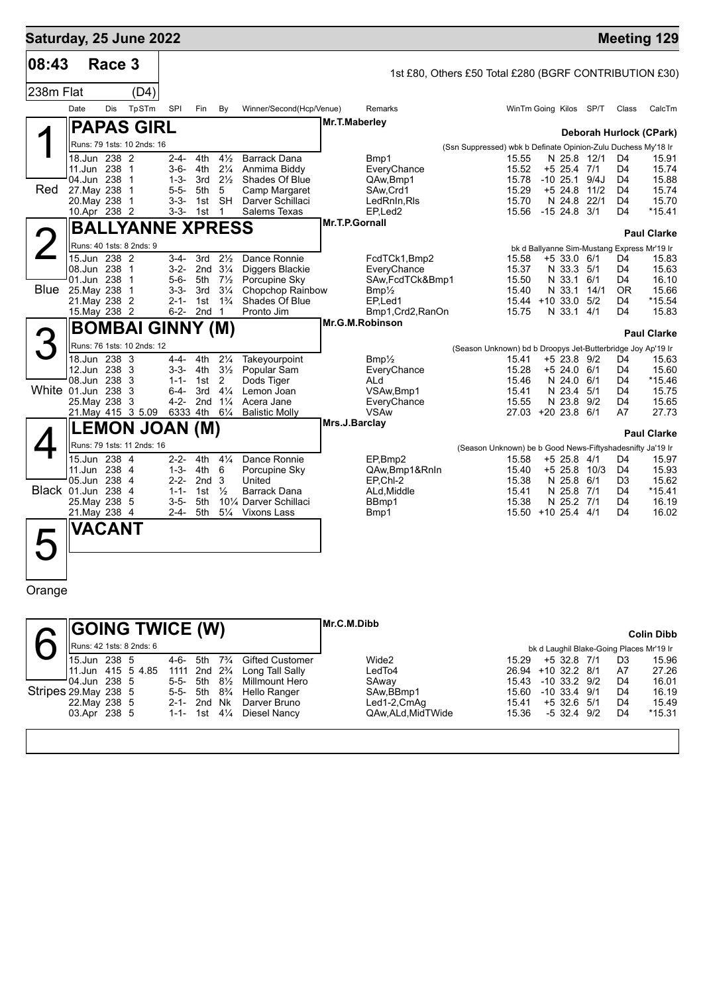| Saturday, 25 June 2022 |                              |            |                            |                        |                  |                                      |                                                                 |                |                                                        |                                                               |                        |                            |            |                                  | <b>Meeting 129</b>                          |
|------------------------|------------------------------|------------|----------------------------|------------------------|------------------|--------------------------------------|-----------------------------------------------------------------|----------------|--------------------------------------------------------|---------------------------------------------------------------|------------------------|----------------------------|------------|----------------------------------|---------------------------------------------|
| 08:43                  |                              | Race 3     |                            |                        |                  |                                      |                                                                 |                | 1st £80, Others £50 Total £280 (BGRF CONTRIBUTION £30) |                                                               |                        |                            |            |                                  |                                             |
| 238m Flat              |                              |            | (D4)                       |                        |                  |                                      |                                                                 |                |                                                        |                                                               |                        |                            |            |                                  |                                             |
|                        | Date                         | <b>Dis</b> | TpSTm                      | SPI                    | Fin              | By                                   | Winner/Second(Hcp/Venue)                                        |                | Remarks                                                |                                                               | WinTm Going Kilos SP/T |                            |            | Class                            | CalcTm                                      |
|                        |                              |            |                            |                        |                  |                                      |                                                                 | Mr.T.Maberley  |                                                        |                                                               |                        |                            |            |                                  |                                             |
|                        |                              |            | <b>PAPAS GIRL</b>          |                        |                  |                                      |                                                                 |                |                                                        |                                                               |                        |                            |            |                                  | Deborah Hurlock (CPark)                     |
|                        |                              |            | Runs: 79 1sts: 10 2nds: 16 |                        |                  |                                      |                                                                 |                |                                                        | (Ssn Suppressed) wbk b Definate Opinion-Zulu Duchess My'18 Ir |                        |                            |            |                                  |                                             |
|                        | 18.Jun 238 2<br>11.Jun 238 1 |            |                            | $2 - 4 -$<br>$3 - 6 -$ | 4th<br>4th       | $4\frac{1}{2}$<br>$2\frac{1}{4}$     | <b>Barrack Dana</b><br>Anmima Biddy                             |                | Bmp1<br>EveryChance                                    |                                                               | 15.55<br>15.52         | N 25.8 12/1<br>+5 25.4 7/1 |            | D <sub>4</sub><br>D <sub>4</sub> | 15.91<br>15.74                              |
|                        | 04.Jun 238                   |            | $\overline{1}$             | $1 - 3 -$              | 3rd              | $2\frac{1}{2}$                       | Shades Of Blue                                                  |                | QAw, Bmp1                                              |                                                               | 15.78                  | $-10, 25.1$                | 9/4J       | D4                               | 15.88                                       |
| Red                    | 27. May 238                  |            | -1                         | $5 - 5 -$              | 5th              | 5                                    | Camp Margaret                                                   |                | SAw,Crd1                                               |                                                               | 15.29                  | $+5$ 24.8                  | 11/2       | D <sub>4</sub>                   | 15.74                                       |
|                        | 20. May 238                  |            | $\overline{\phantom{1}}$   | $3 - 3 -$              | 1st              | SH                                   | Darver Schillaci                                                |                | LedRnIn, RIs                                           |                                                               | 15.70                  | N 24.8                     | 22/1       | D <sub>4</sub><br>D <sub>4</sub> | 15.70                                       |
|                        | 10.Apr 238 2                 |            |                            | $3 - 3 -$              | 1st              | $\mathbf{1}$                         | Salems Texas                                                    | Mr.T.P.Gornall | EP,Led2                                                |                                                               | 15.56                  | $-15$ 24.8 $3/1$           |            |                                  | $*15.41$                                    |
|                        |                              |            | <b>BALLYANNE XPRESS</b>    |                        |                  |                                      |                                                                 |                |                                                        |                                                               |                        |                            |            |                                  | <b>Paul Clarke</b>                          |
|                        |                              |            | Runs: 40 1sts: 8 2nds: 9   |                        |                  |                                      |                                                                 |                |                                                        |                                                               |                        |                            |            |                                  | bk d Ballyanne Sim-Mustang Express Mr'19 Ir |
|                        | 15.Jun 238 2                 |            |                            | $3-4-$                 | 3rd              | $2\frac{1}{2}$                       | Dance Ronnie                                                    |                | FcdTCk1,Bmp2                                           |                                                               | 15.58                  | +5 33.0 6/1                |            | D4                               | 15.83                                       |
|                        | 08.Jun 238 1<br>01.Jun 238   |            | $\overline{1}$             | $3 - 2 -$<br>$5 - 6 -$ | 5th              | 2nd $3\frac{1}{4}$<br>$7\frac{1}{2}$ | Diggers Blackie<br>Porcupine Sky                                |                | EveryChance<br>SAw,FcdTCk&Bmp1                         |                                                               | 15.37<br>15.50         | N 33.3 5/1<br>N 33.1 6/1   |            | D <sub>4</sub><br>D <sub>4</sub> | 15.63<br>16.10                              |
| <b>Blue</b>            | 25. May 238                  |            | $\overline{1}$             | $3 - 3 -$              | 3rd              | $3\frac{1}{4}$                       | Chopchop Rainbow                                                |                | $Bmp\frac{1}{2}$                                       |                                                               | 15.40                  | N 33.1                     | 14/1       | 0R                               | 15.66                                       |
|                        | 21. May 238 2                |            |                            | $2 - 1 -$              | 1st              | $1\frac{3}{4}$                       | Shades Of Blue                                                  |                | EP,Led1                                                |                                                               | 15.44 +10 33.0 5/2     |                            |            | D4                               | *15.54                                      |
|                        | 15. May 238 2                |            |                            | $6 - 2 -$              | 2nd <sub>1</sub> |                                      | Pronto Jim                                                      |                | Bmp1, Crd2, RanOn                                      |                                                               | 15.75                  | N 33.1 4/1                 |            | D <sub>4</sub>                   | 15.83                                       |
|                        |                              |            | <b>BOMBAI GINNY (M)</b>    |                        |                  |                                      |                                                                 |                | Mr.G.M.Robinson                                        |                                                               |                        |                            |            |                                  | <b>Paul Clarke</b>                          |
|                        |                              |            | Runs: 76 1sts: 10 2nds: 12 |                        |                  |                                      |                                                                 |                |                                                        | (Season Unknown) bd b Droopys Jet-Butterbridge Joy Ap'19 Ir   |                        |                            |            |                                  |                                             |
|                        | 18.Jun 238 3                 |            |                            | $4 - 4 -$              | 4th              | $2\frac{1}{4}$                       | Takeyourpoint                                                   |                | $Bmp\frac{\pi}{2}$                                     |                                                               | 15.41                  | +5 23.8 9/2                |            | D4                               | 15.63                                       |
|                        | 12.Jun 238                   |            | - 3                        | $3 - 3 -$              | 4th              | $3\frac{1}{2}$                       | Popular Sam                                                     |                | EveryChance                                            |                                                               | 15.28                  | $+5$ 24.0                  | 6/1        | D <sub>4</sub>                   | 15.60                                       |
| White 01.Jun 238       | 08.Jun 238                   |            | 3<br>3                     | $1 - 1 -$<br>$6 - 4 -$ | 1st<br>3rd       | $\overline{2}$<br>$4\frac{1}{4}$     | Dods Tiger<br>Lemon Joan                                        |                | ALd<br>VSAw, Bmp1                                      |                                                               | 15.46<br>15.41         | N 24.0<br>N 23.4           | 6/1<br>5/1 | D <sub>4</sub><br>D <sub>4</sub> | *15.46<br>15.75                             |
|                        | 25. May 238 3                |            |                            | $4 - 2 -$              |                  | 2nd $1\frac{1}{4}$                   | Acera Jane                                                      |                | EveryChance                                            |                                                               | 15.55                  | N 23.8 9/2                 |            | D <sub>4</sub>                   | 15.65                                       |
|                        |                              |            | 21 May 415 3 5.09          |                        | 6333 4th 61/4    |                                      | <b>Balistic Molly</b>                                           |                | <b>VSAw</b>                                            |                                                               | 27.03 +20 23.8 6/1     |                            |            | A7                               | 27.73                                       |
|                        |                              |            | <b>LEMON JOAN (M)</b>      |                        |                  |                                      |                                                                 | Mrs.J.Barclay  |                                                        |                                                               |                        |                            |            |                                  | <b>Paul Clarke</b>                          |
|                        |                              |            | Runs: 79 1sts: 11 2nds: 16 |                        |                  |                                      |                                                                 |                |                                                        | (Season Unknown) be b Good News-Fiftyshadesnifty Ja'19 Ir     |                        |                            |            |                                  |                                             |
|                        | 15.Jun 238 4                 |            |                            | $2 - 2 -$              | 4th              | $4\frac{1}{4}$                       | Dance Ronnie                                                    |                | EP.Bmp2                                                |                                                               | 15.58                  | +5 25.8 4/1                |            | D4                               | 15.97                                       |
|                        | 11.Jun 238 4                 |            |                            | $1 - 3 -$              | 4th              | 6                                    | Porcupine Sky                                                   |                | QAw, Bmp1&RnIn                                         |                                                               | 15.40                  | +5 25.8                    | 10/3       | D <sub>4</sub>                   | 15.93                                       |
|                        | 05.Jun 238                   |            | $\overline{4}$             | $2 - 2 -$              | 2nd <sub>3</sub> |                                      | United                                                          |                | EP.Chl-2                                               |                                                               | 15.38                  | N 25.8                     | 6/1        | D3                               | 15.62                                       |
| Black 01.Jun 238       | 25. May 238 5                |            | $\overline{4}$             | $1 - 1 -$<br>$3 - 5 -$ | 1st<br>5th       | $\frac{1}{2}$                        | Barrack Dana<br>10 <sup>1</sup> / <sub>4</sub> Darver Schillaci |                | ALd, Middle<br>BBmp1                                   |                                                               | 15.41<br>15.38         | N 25.8 7/1<br>N 25.2 7/1   |            | D <sub>4</sub><br>D4             | *15.41<br>16.19                             |
|                        | 21. May 238 4                |            |                            | $2 - 4 -$              | 5th              | $5\frac{1}{4}$                       | Vixons Lass                                                     |                | Bmp1                                                   |                                                               | 15.50 +10 25.4 4/1     |                            |            | $\mathsf{D}4$                    | 16.02                                       |
|                        | <b>VACANT</b>                |            |                            |                        |                  |                                      |                                                                 |                |                                                        |                                                               |                        |                            |            |                                  |                                             |
|                        |                              |            |                            |                        |                  |                                      |                                                                 |                |                                                        |                                                               |                        |                            |            |                                  |                                             |
|                        |                              |            |                            |                        |                  |                                      |                                                                 |                |                                                        |                                                               |                        |                            |            |                                  |                                             |
|                        |                              |            |                            |                        |                  |                                      |                                                                 |                |                                                        |                                                               |                        |                            |            |                                  |                                             |

Orange

|                                    | <b>SOING TWICE (W)</b> |          |                                        |                |                                               | Mr.C.M.Dibb      |                    |                  |                | <b>Colin Dibb</b>                        |
|------------------------------------|------------------------|----------|----------------------------------------|----------------|-----------------------------------------------|------------------|--------------------|------------------|----------------|------------------------------------------|
|                                    |                        |          |                                        |                |                                               |                  |                    |                  |                |                                          |
| <b>II</b> Runs: 42 1sts: 8 2nds: 6 |                        |          |                                        |                |                                               |                  |                    |                  |                | bk d Laughil Blake-Going Places Mr'19 Ir |
| 15.Jun 238 5                       |                        | 4-6-     | 5th                                    |                | 7 <sup>3</sup> / <sub>4</sub> Gifted Customer | Wide2            | 15.29              | $+5$ 32.8 7/1    | D <sub>3</sub> | 15.96                                    |
| 11.Jun 415 5 4.85                  |                        |          | 1111 2nd 2 <sup>3</sup> / <sub>4</sub> |                | Long Tall Sally                               | LedTo4           | 26.94 +10 32.2 8/1 |                  | A7             | 27.26                                    |
| 04.Jun 238 5                       |                        | 5-5- 5th |                                        | $8\frac{1}{2}$ | Millmount Hero                                | SAway            | 15.43              | $-10$ 33.2 $9/2$ | D <sub>4</sub> | 16.01                                    |
| Stripes 29.May 238 5               |                        | 5-5- 5th |                                        | $8\frac{3}{4}$ | Hello Ranger                                  | SAw, BBmp1       | 15.60              | $-10, 33.4, 9/1$ | D <sub>4</sub> | 16.19                                    |
| 22. May 238 5                      |                        |          | 2-1- 2nd Nk                            |                | Darver Bruno                                  | Led1-2,CmAq      | 15.41              | $+5$ 32.6 5/1    | D <sub>4</sub> | 15.49                                    |
| 03.Apr 238 5                       |                        |          | 1-1- 1st                               | $4\frac{1}{4}$ | Diesel Nancy                                  | QAw.ALd.MidTWide | 15.36              | $-5$ 32.4 $9/2$  | D4             | $*15.31$                                 |
|                                    |                        |          |                                        |                |                                               |                  |                    |                  |                |                                          |
|                                    |                        |          |                                        |                |                                               |                  |                    |                  |                |                                          |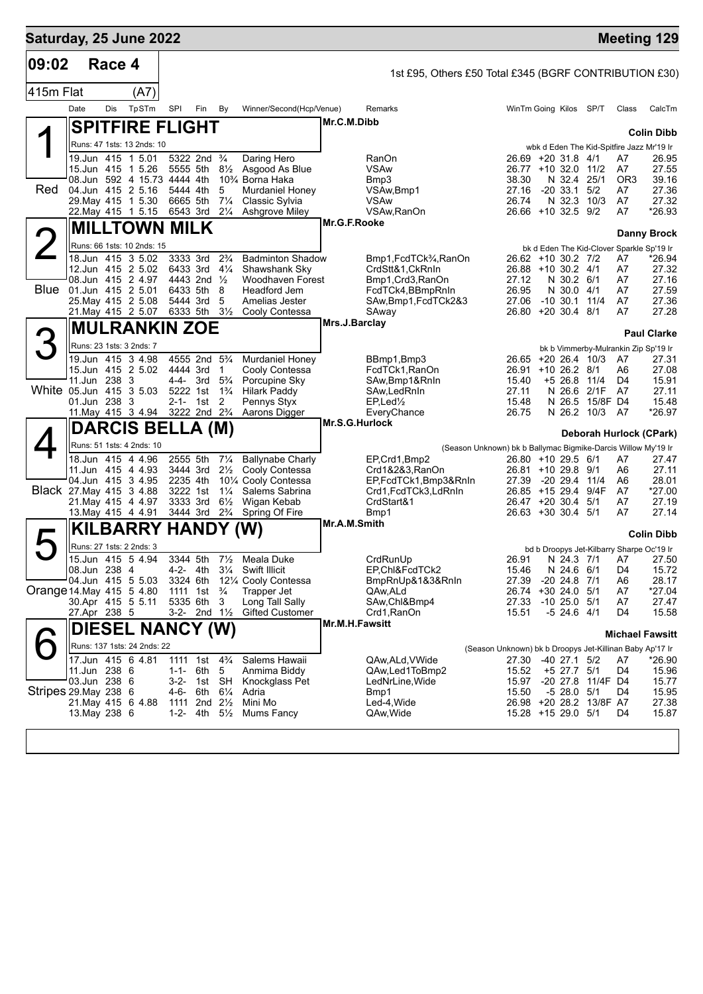| Saturday, 25 June 2022   |               |        |                                                           |           |                                                  |                                  |                                                  |                |                                                        |                                                                   |                                   |                         |                      | <b>Meeting 129</b>                                  |
|--------------------------|---------------|--------|-----------------------------------------------------------|-----------|--------------------------------------------------|----------------------------------|--------------------------------------------------|----------------|--------------------------------------------------------|-------------------------------------------------------------------|-----------------------------------|-------------------------|----------------------|-----------------------------------------------------|
| 09:02                    |               | Race 4 |                                                           |           |                                                  |                                  |                                                  |                | 1st £95, Others £50 Total £345 (BGRF CONTRIBUTION £30) |                                                                   |                                   |                         |                      |                                                     |
| 415m Flat                |               |        | (A7)                                                      |           |                                                  |                                  |                                                  |                |                                                        |                                                                   |                                   |                         |                      |                                                     |
|                          | Date          | Dis    | TpSTm                                                     | SPI       | Fin                                              | By                               | Winner/Second(Hcp/Venue)                         |                | Remarks                                                | WinTm Going Kilos SP/T                                            |                                   |                         | Class                | CalcTm                                              |
|                          |               |        |                                                           |           |                                                  |                                  |                                                  | Mr.C.M.Dibb    |                                                        |                                                                   |                                   |                         |                      |                                                     |
|                          |               |        | <b>SPITFIRE FLIGHT</b>                                    |           |                                                  |                                  |                                                  |                |                                                        |                                                                   |                                   |                         |                      | <b>Colin Dibb</b>                                   |
|                          |               |        | Runs: 47 1sts: 13 2nds: 10                                |           |                                                  |                                  |                                                  |                |                                                        |                                                                   |                                   |                         |                      | wbk d Eden The Kid-Spitfire Jazz Mr'19 Ir           |
|                          |               |        | 19.Jun 415 1 5.01<br>15.Jun 415 1 5.26                    |           | 5322 2nd <sup>3</sup> / <sub>4</sub><br>5555 5th | $8\frac{1}{2}$                   | Daring Hero<br>Asgood As Blue                    |                | <b>RanOn</b><br>VSAw                                   | 26.69 +20 31.8 4/1<br>26.77 +10 32.0 11/2                         |                                   |                         | A7<br>A7             | 26.95<br>27.55                                      |
|                          |               |        | 08.Jun 592 4 15.73 4444 4th                               |           |                                                  |                                  | 10 <sup>3</sup> / <sub>4</sub> Borna Haka        |                | Bmp3                                                   | 38.30                                                             | N 32.4                            | 25/1                    | OR <sub>3</sub>      | 39.16                                               |
| Red                      |               |        | 04.Jun 415 2 5.16                                         |           | 5444 4th                                         | 5                                | Murdaniel Honey                                  |                | VSAw, Bmp1                                             | 27.16                                                             | $-20$ 33.1 $5/2$                  |                         | A7                   | 27.36                                               |
|                          |               |        | 29. May 415 1 5.30<br>22. May 415 1 5.15                  |           | 6665 5th<br>6543 3rd 21/4                        | $7\frac{1}{4}$                   | Classic Sylvia<br><b>Ashgrove Miley</b>          |                | <b>VSAw</b><br>VSAw, RanOn                             | 26.74<br>26.66 +10 32.5 9/2                                       | N 32.3 10/3                       |                         | A7<br>A7             | 27.32<br>*26.93                                     |
|                          |               |        | <b>MILLTOWN MILK</b>                                      |           |                                                  |                                  |                                                  | Mr.G.F.Rooke   |                                                        |                                                                   |                                   |                         |                      |                                                     |
|                          |               |        | Runs: 66 1sts: 10 2nds: 15                                |           |                                                  |                                  |                                                  |                |                                                        |                                                                   |                                   |                         |                      | <b>Danny Brock</b>                                  |
|                          |               |        | 18.Jun 415 3 5.02                                         |           | 3333 3rd                                         | $2\frac{3}{4}$                   | <b>Badminton Shadow</b>                          |                | Bmp1, FcdTCk <sup>3</sup> / <sub>4</sub> , RanOn       | 26.62 +10 30.2 7/2                                                |                                   |                         | A7                   | bk d Eden The Kid-Clover Sparkle Sp'19 Ir<br>*26.94 |
|                          |               |        | 12.Jun 415 2 5.02                                         |           | 6433 3rd                                         | $4\frac{1}{4}$                   | Shawshank Sky                                    |                | CrdStt&1,CkRnIn                                        | 26.88 +10 30.2 4/1                                                |                                   |                         | A7                   | 27.32                                               |
| Blue                     |               |        | 08.Jun 415 2 4.97                                         |           | 4443 2nd 1/2                                     | 8                                | Woodhaven Forest<br>Headford Jem                 |                | Bmp1, Crd3, RanOn                                      | 27.12                                                             | N 30.2 6/1                        |                         | A7                   | 27.16<br>27.59                                      |
|                          |               |        | 01.Jun 415 2 5.01<br>25. May 415 2 5.08                   |           | 6433 5th<br>5444 3rd                             | 5                                | Amelias Jester                                   |                | FcdTCk4,BBmpRnIn<br>SAw, Bmp1, FcdTCk2&3               | 26.95<br>27.06                                                    | N 30.0 4/1<br>$-10, 30.1, 11/4$   |                         | A7<br>A7             | 27.36                                               |
|                          |               |        | 21. May 415 2 5.07                                        |           | 6333 5th                                         | $3\frac{1}{2}$                   | Cooly Contessa                                   |                | SAway                                                  | 26.80 +20 30.4 8/1                                                |                                   |                         | A7                   | 27.28                                               |
|                          |               |        | <b>MULRANKIN ZOE</b>                                      |           |                                                  |                                  |                                                  | Mrs.J.Barclay  |                                                        |                                                                   |                                   |                         |                      | <b>Paul Clarke</b>                                  |
| З                        |               |        | Runs: 23 1sts: 3 2nds: 7                                  |           |                                                  |                                  |                                                  |                |                                                        |                                                                   |                                   |                         |                      | bk b Vimmerby-Mulrankin Zip Sp'19 Ir                |
|                          |               |        | 19.Jun 415 3 4.98                                         |           | 4555 2nd 5 <sup>3</sup> / <sub>4</sub>           |                                  | <b>Murdaniel Honey</b>                           |                | BBmp1,Bmp3                                             | 26.65 +20 26.4 10/3                                               |                                   |                         | A7                   | 27.31                                               |
|                          |               |        | 15.Jun 415 2 5.02                                         |           | 4444 3rd                                         | 1                                | Cooly Contessa                                   |                | FcdTCk1, RanOn                                         | 26.91                                                             | $+10$ 26.2 8/1                    |                         | A6                   | 27.08                                               |
| White 05.Jun 415 3 5.03  | 11.Jun 238 3  |        |                                                           |           | 4-4- 3rd<br>5222 1st                             | $5\frac{3}{4}$<br>$1\frac{3}{4}$ | Porcupine Sky<br><b>Hilark Paddy</b>             |                | SAw,Bmp1&RnIn<br>SAw, Led RnIn                         | 15.40<br>27.11                                                    | +5 26.8 11/4<br>N 26.6            | 2/1F                    | D <sub>4</sub><br>A7 | 15.91<br>27.11                                      |
|                          | 01.Jun 238 3  |        |                                                           | 2-1-      | 1st                                              | 2                                | Pennys Styx                                      |                | $EP$ , Led $\frac{1}{2}$                               | 15.48                                                             |                                   | N 26.5 15/8F D4         |                      | 15.48                                               |
|                          |               |        | 11. May 415 3 4.94 3222 2nd 2 <sup>3</sup> / <sub>4</sub> |           |                                                  |                                  | Aarons Digger                                    |                | EveryChance                                            | 26.75                                                             | N 26.2 10/3                       |                         | A7                   | *26.97                                              |
|                          |               |        | <b>DARCIS BELLA (M)</b>                                   |           |                                                  |                                  |                                                  | Mr.S.G.Hurlock |                                                        |                                                                   |                                   |                         |                      | Deborah Hurlock (CPark)                             |
|                          |               |        | Runs: 51 1sts: 4 2nds: 10                                 |           |                                                  |                                  |                                                  |                |                                                        | (Season Unknown) bk b Ballymac Bigmike-Darcis Willow My'19 Ir     |                                   |                         |                      |                                                     |
|                          |               |        | 18.Jun 415 4 4.96                                         |           | 2555 5th                                         | $7\frac{1}{4}$                   | <b>Ballynabe Charly</b>                          |                | EP, Crd1, Bmp2                                         | 26.80 +10 29.5 6/1                                                |                                   |                         | A7                   | 27.47                                               |
|                          |               |        | 11.Jun 415 4 4.93<br>04.Jun 415 3 4.95                    |           | 3444 3rd<br>2235 4th                             | $2\frac{1}{2}$                   | Cooly Contessa<br>101⁄4 Cooly Contessa           |                | Crd1&2&3,RanOn<br>EP,FcdTCk1,Bmp3&RnIn                 | 26.81 +10 29.8 9/1<br>27.39                                       | -20 29.4 11/4                     |                         | A6<br>A6             | 27.11<br>28.01                                      |
| Black 27. May 415 3 4.88 |               |        |                                                           |           | 3222 1st                                         | $1\frac{1}{4}$                   | Salems Sabrina                                   |                | Crd1,FcdTCk3,LdRnIn                                    | 26.85 +15 29.4                                                    |                                   | 9/4F                    | A7                   | *27.00                                              |
|                          |               |        | 21. May 415 4 4.97                                        |           | 3333 3rd                                         | $6\frac{1}{2}$                   | Wigan Kebab                                      |                | CrdStart&1                                             | 26.47 +20 30.4 5/1                                                |                                   |                         | A7                   | 27.19                                               |
|                          |               |        | 13. May 415 4 4.91                                        |           | 3444 3rd                                         | $2\frac{3}{4}$                   | Spring Of Fire                                   | Mr.A.M.Smith   | Bmp1                                                   | 26.63 +30 30.4 5/1                                                |                                   |                         | A7                   | 27.14                                               |
|                          |               |        | <b>KILBARRY HANDY</b>                                     |           |                                                  |                                  | (W)                                              |                |                                                        |                                                                   |                                   |                         |                      | <b>Colin Dibb</b>                                   |
|                          |               |        | Runs: 27 1sts: 2 2nds: 3                                  |           |                                                  |                                  |                                                  |                |                                                        |                                                                   |                                   |                         |                      | bd b Droopys Jet-Kilbarry Sharpe Oc'19 Ir           |
|                          | 08.Jun 238 4  |        | 15.Jun 415 5 4.94                                         |           | 4-2- 4th                                         | $3\frac{1}{4}$                   | 3344 5th 71/2 Meala Duke<br><b>Swift Illicit</b> |                | CrdRunUp<br>EP, Chl&FcdTCk2                            | 26.91<br>15.46                                                    | N 24.6 6/1                        | N 24.3 7/1 A7           | D4                   | 27.50<br>15.72                                      |
|                          |               |        | 04.Jun 415 5 5.03                                         |           | 3324 6th                                         |                                  | 121/4 Cooly Contessa                             |                | BmpRnUp&1&3&RnIn                                       | 27.39                                                             | $-20$ 24.8 $7/1$                  |                         | A <sub>6</sub>       | 28.17                                               |
| Orange 14 May 415 5 4.80 |               |        |                                                           |           | 1111 1st                                         | $\frac{3}{4}$                    | Trapper Jet                                      |                | QAw,ALd                                                | 26.74                                                             | $+30$ 24.0 $5/1$                  |                         | A7                   | *27.04                                              |
|                          | 27.Apr 238 5  |        | 30.Apr 415 5 5.11                                         |           | 5335 6th 3<br>$3-2$ - 2nd $1\frac{1}{2}$         |                                  | Long Tall Sally<br><b>Gifted Customer</b>        |                | SAw,Chl&Bmp4<br>Crd1, RanOn                            | 27.33<br>15.51                                                    | $-10$ 25.0 $5/1$<br>$-5$ 24.6 4/1 |                         | A7<br>D4             | 27.47<br>15.58                                      |
|                          |               |        |                                                           |           |                                                  |                                  |                                                  | Mr.M.H.Fawsitt |                                                        |                                                                   |                                   |                         |                      |                                                     |
|                          |               |        | <b>DIESEL NANCY (W)</b>                                   |           |                                                  |                                  |                                                  |                |                                                        |                                                                   |                                   |                         |                      | <b>Michael Fawsitt</b>                              |
|                          |               |        | Runs: 137 1sts: 24 2nds: 22<br>17.Jun 415 6 4.81          |           | 1111 1st                                         | $4\frac{3}{4}$                   | Salems Hawaii                                    |                |                                                        | (Season Unknown) bk b Droopys Jet-Killinan Baby Ap'17 Ir<br>27.30 | -40 27.1 5/2                      |                         | A7                   | *26.90                                              |
|                          | 11.Jun 238 6  |        |                                                           | $1 - 1 -$ | 6th                                              | 5                                | Anmima Biddy                                     |                | QAw,ALd,VWide<br>QAw,Led1ToBmp2                        | 15.52                                                             | +5 27.7 5/1                       |                         | D4                   | 15.96                                               |
|                          | 03.Jun 238 6  |        |                                                           | $3-2-$    | 1st                                              | SH                               | Knockglass Pet                                   |                | LedNrLine,Wide                                         | 15.97                                                             | $-20$ 27.8                        | 11/4F D4                |                      | 15.77                                               |
| Stripes 29. May 238 6    |               |        | 21. May 415 6 4.88                                        |           | 4-6- 6th                                         | $6\frac{1}{4}$                   | Adria                                            |                | Bmp1                                                   | 15.50                                                             | $-5$ 28.0 $5/1$                   | 26.98 +20 28.2 13/8F A7 | D4                   | 15.95                                               |
|                          | 13. May 238 6 |        |                                                           | $1 - 2 -$ | 1111 2nd 21/ <sub>2</sub><br>4th                 | $5\frac{1}{2}$                   | Mini Mo<br>Mums Fancy                            |                | Led-4, Wide<br>QAw, Wide                               | 15.28 +15 29.0 5/1                                                |                                   |                         | D4                   | 27.38<br>15.87                                      |
|                          |               |        |                                                           |           |                                                  |                                  |                                                  |                |                                                        |                                                                   |                                   |                         |                      |                                                     |
|                          |               |        |                                                           |           |                                                  |                                  |                                                  |                |                                                        |                                                                   |                                   |                         |                      |                                                     |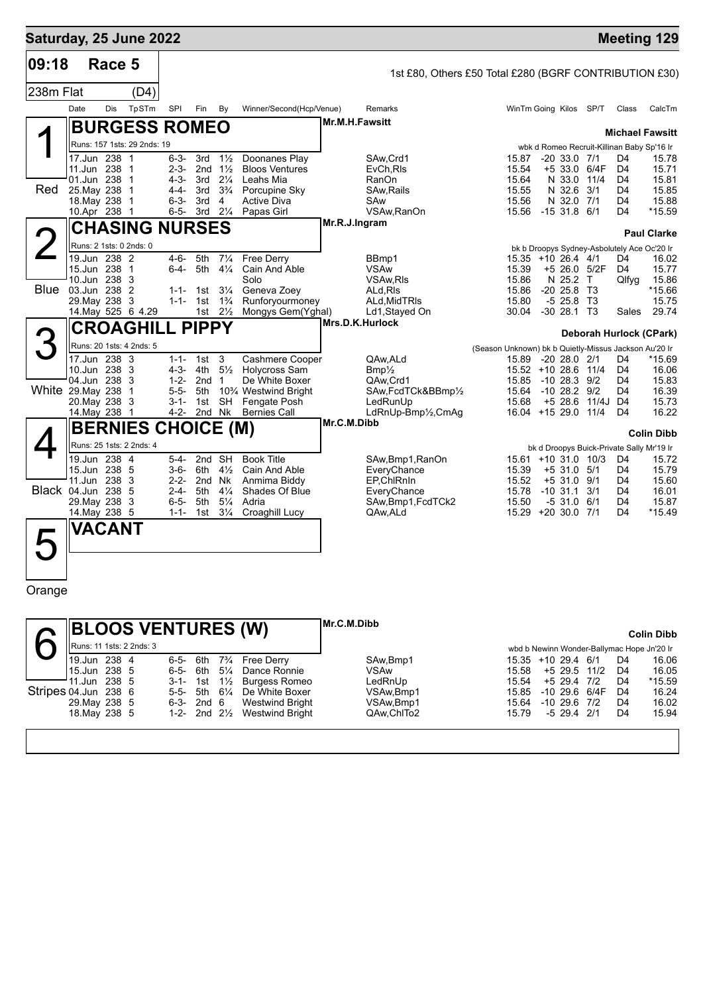|             | Saturday, 25 June 2022              |                        |                                                |                                                |                                                        |                                                       |                                             |            |                                  | <b>Meeting 129</b>      |
|-------------|-------------------------------------|------------------------|------------------------------------------------|------------------------------------------------|--------------------------------------------------------|-------------------------------------------------------|---------------------------------------------|------------|----------------------------------|-------------------------|
| 09:18       | Race 5                              |                        |                                                |                                                | 1st £80, Others £50 Total £280 (BGRF CONTRIBUTION £30) |                                                       |                                             |            |                                  |                         |
| 238m Flat   |                                     | (D4)                   |                                                |                                                |                                                        |                                                       |                                             |            |                                  |                         |
|             | Date<br>Dis                         | TpSTm<br>SPI           | Fin<br>By                                      | Winner/Second(Hcp/Venue)                       | Remarks                                                |                                                       | WinTm Going Kilos SP/T                      |            | Class                            | CalcTm                  |
|             |                                     |                        |                                                |                                                | Mr.M.H.Fawsitt                                         |                                                       |                                             |            |                                  |                         |
|             | <b>BURGESS ROMEO</b>                |                        |                                                |                                                |                                                        |                                                       |                                             |            |                                  | <b>Michael Fawsitt</b>  |
|             | Runs: 157 1sts: 29 2nds: 19         |                        |                                                |                                                |                                                        |                                                       | wbk d Romeo Recruit-Killinan Baby Sp'16 Ir  |            |                                  |                         |
|             | 17.Jun 238 1<br>11.Jun 238 1        | $6 - 3 -$<br>$2 - 3 -$ | 3rd<br>$1\frac{1}{2}$<br>2nd $1\frac{1}{2}$    | Doonanes Play<br><b>Bloos Ventures</b>         | SAw, Crd1                                              | 15.87<br>15.54                                        | $-20$ 33.0 $7/1$<br>$+5$ 33.0               | 6/4F       | D4<br>D <sub>4</sub>             | 15.78<br>15.71          |
|             | 01.Jun 238 1                        | $4 - 3 -$              | 3rd<br>$2\frac{1}{4}$                          | Leahs Mia                                      | EvCh, RIs<br>RanOn                                     | 15.64                                                 | N 33.0                                      | 11/4       | D <sub>4</sub>                   | 15.81                   |
| Red         | 25. May 238<br>- 1                  | $4 - 4 -$              | $3\frac{3}{4}$<br>3rd                          | Porcupine Sky                                  | SAw, Rails                                             | 15.55                                                 | N 32.6                                      | 3/1        | D <sub>4</sub>                   | 15.85                   |
|             | 18. May 238 1                       | $6 - 3 -$              | 3rd<br>$\overline{4}$                          | <b>Active Diva</b>                             | SAw                                                    | 15.56                                                 | N 32.0 7/1                                  |            | D <sub>4</sub>                   | 15.88                   |
|             | 10.Apr 238 1                        |                        | $2\frac{1}{4}$<br>6-5- 3rd                     | Papas Girl                                     | VSAw, RanOn                                            | 15.56                                                 | $-1531.86/1$                                |            | D4                               | *15.59                  |
|             | <b>CHASING NURSES</b>               |                        |                                                |                                                | Mr.R.J.Ingram                                          |                                                       |                                             |            |                                  | <b>Paul Clarke</b>      |
|             | Runs: 2 1sts: 0 2nds: 0             |                        |                                                |                                                |                                                        |                                                       | bk b Droopys Sydney-Asbolutely Ace Oc'20 Ir |            |                                  |                         |
|             | 19.Jun 238 2                        | $4 - 6 -$              | $7\frac{1}{4}$<br>5th                          | Free Derry                                     | BBmp1                                                  |                                                       | 15.35 +10 26.4 4/1                          |            | D <sub>4</sub>                   | 16.02                   |
|             | 15.Jun 238<br>$\overline{1}$        | $6 - 4 -$              | 5th<br>$4\frac{1}{4}$                          | Cain And Able                                  | <b>VSAw</b>                                            | 15.39                                                 | +5 26.0 5/2F                                |            | D <sub>4</sub>                   | 15.77                   |
| <b>Blue</b> | 10.Jun 238 3<br>03.Jun 238 2        | $1 - 1 -$              | $3\frac{1}{4}$<br>1st                          | Solo<br>Geneva Zoev                            | VSAw.RIs<br>ALd.RIs                                    | 15.86<br>15.86                                        | N 25.2<br>$-20, 25.8$                       | T<br>T3    | Qlfyg                            | 15.86<br>$*15.66$       |
|             | 29. May 238 3                       | $1 - 1 -$              | $1\frac{3}{4}$<br>1st                          | Runforyourmoney                                | ALd, MidTRIs                                           | 15.80                                                 | $-525.8$ T3                                 |            |                                  | 15.75                   |
|             | 14. May 525 6 4.29                  |                        | 1st $2\frac{1}{2}$                             | Mongys Gem(Yghal)                              | Ld1, Stayed On                                         | 30.04                                                 | $-30$ 28.1 T <sub>3</sub>                   |            | Sales                            | 29.74                   |
|             | <b>CROAGHILL</b>                    |                        | <b>PIPPY</b>                                   |                                                | Mrs.D.K.Hurlock                                        |                                                       |                                             |            |                                  |                         |
|             |                                     |                        |                                                |                                                |                                                        |                                                       |                                             |            |                                  | Deborah Hurlock (CPark) |
|             | Runs: 20 1sts: 4 2nds: 5            |                        |                                                |                                                |                                                        | (Season Unknown) bk b Quietly-Missus Jackson Au'20 Ir |                                             |            |                                  |                         |
|             | 17.Jun 238 3<br>10.Jun 238 3        | $1 - 1 -$<br>$4 - 3 -$ | 3<br>1st<br>$5\frac{1}{2}$<br>4th              | <b>Cashmere Cooper</b><br><b>Holycross Sam</b> | QAw, ALd<br>$Bmp\frac{1}{2}$                           | 15.89                                                 | $-2028.021$<br>15.52 +10 28.6 11/4          |            | D4<br>D <sub>4</sub>             | *15.69<br>16.06         |
|             | 04.Jun 238 3                        | $1 - 2 -$              | 2nd <sub>1</sub>                               | De White Boxer                                 | QAw.Crd1                                               | 15.85                                                 | $-10$ 28.3 $9/2$                            |            | D4                               | 15.83                   |
|             | White 29. May 238<br>$\overline{1}$ | $5 - 5 -$              | 5th                                            | 10% Westwind Bright                            | SAw,FcdTCk&BBmp1/2                                     | 15.64                                                 | $-10$ 28.2 $9/2$                            |            | D <sub>4</sub>                   | 16.39                   |
|             | 20. May 238 3                       | $3 - 1 -$              | <b>SH</b><br>1st                               | Fengate Posh                                   | LedRunUp                                               | 15.68                                                 | +5 28.6 11/4J D4                            |            |                                  | 15.73                   |
|             | 14. May 238 1                       | $4 - 2 -$              | 2nd Nk                                         | <b>Bernies Call</b>                            | LdRnUp-Bmp1/2,CmAg                                     |                                                       | 16.04 +15 29.0 11/4                         |            | D <sub>4</sub>                   | 16.22                   |
|             | <b>BERNIES CHOICE (M)</b>           |                        |                                                |                                                | Mr.C.M.Dibb                                            |                                                       |                                             |            |                                  | <b>Colin Dibb</b>       |
|             | Runs: 25 1sts: 2 2nds: 4            |                        |                                                |                                                |                                                        |                                                       | bk d Droopys Buick-Private Sally Mr'19 Ir   |            |                                  |                         |
|             | 19.Jun 238 4                        | $5 - 4 -$              | 2nd SH                                         | <b>Book Title</b>                              | SAw,Bmp1,RanOn                                         |                                                       | 15.61 +10 31.0 10/3                         |            | D <sub>4</sub>                   | 15.72                   |
|             | 15.Jun 238 5                        | $3 - 6 -$              | 6th<br>$4\frac{1}{2}$                          | Cain And Able                                  | EveryChance                                            | 15.39                                                 | $+5$ 31.0 $5/1$                             |            | D <sub>4</sub>                   | 15.79                   |
|             | 11.Jun 238<br>3                     | $2 - 2 -$              | 2nd Nk                                         | Anmima Biddy                                   | EP.ChlRnIn                                             | 15.52                                                 | $+5$ 31.0                                   | 9/1        | D <sub>4</sub>                   | 15.60                   |
|             | Black 04.Jun 238<br>-5              | $2 - 4 -$              | 5th<br>$4\frac{1}{4}$                          | Shades Of Blue                                 | EveryChance                                            | 15.78                                                 | $-10$ 31.1 3/1                              |            | D4                               | 16.01                   |
|             | 29. May 238 3                       | $6 - 5 -$<br>$1 - 1 -$ | $5\frac{1}{4}$<br>5th<br>$3\frac{1}{4}$<br>1st | Adria                                          | SAw, Bmp1, FcdTCk2                                     | 15.50                                                 | $-531.0$<br>$15.29 + 2030.0$                | 6/1<br>7/1 | D <sub>4</sub><br>D <sub>4</sub> | 15.87<br>$*15.49$       |
|             | 14. May 238 5                       |                        |                                                | Croaghill Lucy                                 | QAw, ALd                                               |                                                       |                                             |            |                                  |                         |
|             | <b>VACANT</b>                       |                        |                                                |                                                |                                                        |                                                       |                                             |            |                                  |                         |
|             |                                     |                        |                                                |                                                |                                                        |                                                       |                                             |            |                                  |                         |
|             |                                     |                        |                                                |                                                |                                                        |                                                       |                                             |            |                                  |                         |
|             |                                     |                        |                                                |                                                |                                                        |                                                       |                                             |            |                                  |                         |

Orange

| <b>BLOOS VENTURES (W)</b>        |                            |                                                        | Mr.C.M.Dibb |                    |                  |                 |                | <b>Colin Dibb</b>                          |
|----------------------------------|----------------------------|--------------------------------------------------------|-------------|--------------------|------------------|-----------------|----------------|--------------------------------------------|
| <b>IRuns: 11 1sts: 2 2nds: 3</b> |                            |                                                        |             |                    |                  |                 |                | wbd b Newinn Wonder-Ballymac Hope Jn'20 Ir |
| 19.Jun 238 4                     | 6-5-<br>6th                | 7 <sup>3</sup> / <sub>4</sub> Free Derry               | SAw, Bmp1   | 15.35 +10 29.4 6/1 |                  |                 | D4             | 16.06                                      |
| 15.Jun 238 5                     | 6-5-<br>6th                | 5 <sup>1</sup> / <sub>4</sub> Dance Ronnie             | VSAw        | 15.58              |                  | $+5$ 29.5 11/2  | D4             | 16.05                                      |
| 11.Jun 238 5                     | $3-1 - 1st$ $1\frac{1}{2}$ | <b>Burgess Romeo</b>                                   | LedRnUp     | 15.54              | $+5$ 29.4 7/2    |                 | D4             | $*15.59$                                   |
| Stripes 04.Jun 238 6             | 5-5- 5th                   | 6¼ De White Boxer                                      | VSAw.Bmp1   | 15.85              |                  | $-10$ 29.6 6/4F | D4             | 16.24                                      |
| 29. May 238 5                    | 6-3- 2nd 6                 | <b>Westwind Bright</b>                                 | VSAw, Bmp1  | 15.64              | $-10$ 29.6 $7/2$ |                 | D4             | 16.02                                      |
| 18. May 238 5                    |                            | 1-2- 2nd 2 <sup>1</sup> / <sub>2</sub> Westwind Bright | QAw.ChlTo2  | 15.79              | $-5$ 29.4 2/1    |                 | D <sub>4</sub> | 15.94                                      |
|                                  |                            |                                                        |             |                    |                  |                 |                |                                            |
|                                  |                            |                                                        |             |                    |                  |                 |                |                                            |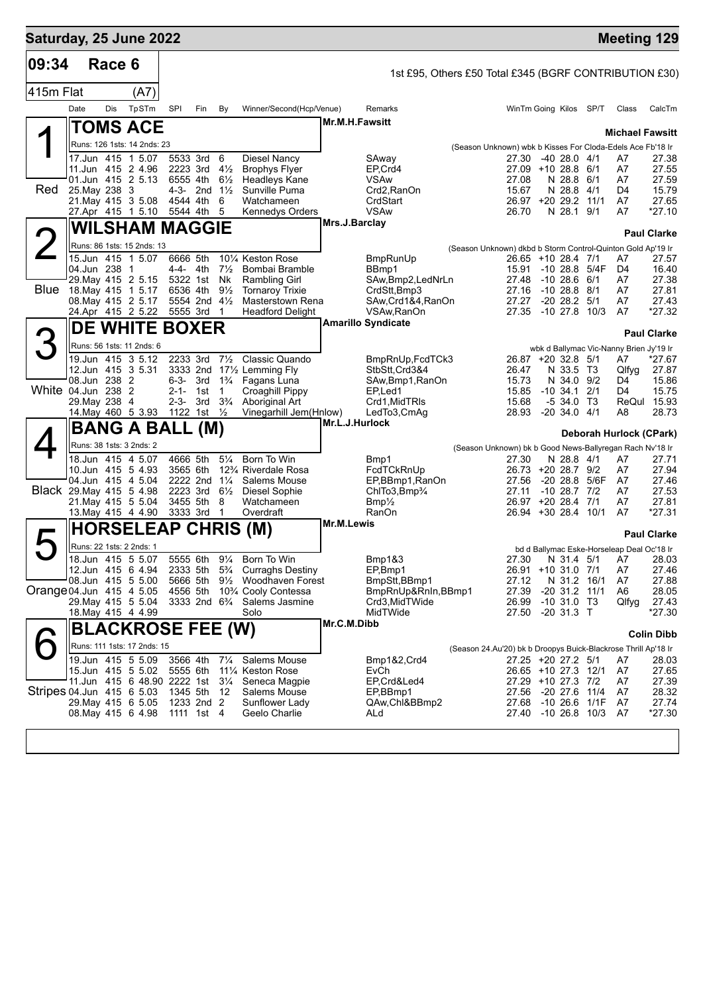| Saturday, 25 June 2022    |                                          |            |       |                        |                         |                                  |                                                                        |                       |                                                        |                                                                |                             |                                        |      |                                               | <b>Meeting 129</b> |
|---------------------------|------------------------------------------|------------|-------|------------------------|-------------------------|----------------------------------|------------------------------------------------------------------------|-----------------------|--------------------------------------------------------|----------------------------------------------------------------|-----------------------------|----------------------------------------|------|-----------------------------------------------|--------------------|
| 09:34                     |                                          | Race 6     |       |                        |                         |                                  |                                                                        |                       | 1st £95, Others £50 Total £345 (BGRF CONTRIBUTION £30) |                                                                |                             |                                        |      |                                               |                    |
| 415m Flat                 |                                          |            | (A7)  |                        |                         |                                  |                                                                        |                       |                                                        |                                                                |                             |                                        |      |                                               |                    |
|                           | Date                                     | <b>Dis</b> | TpSTm | SPI                    | Fin                     | By                               | Winner/Second(Hcp/Venue)                                               |                       | Remarks                                                |                                                                | WinTm Going Kilos SP/T      |                                        |      | Class                                         | CalcTm             |
|                           | <b>TOMS ACE</b>                          |            |       |                        |                         |                                  |                                                                        | <b>Mr.M.H.Fawsitt</b> |                                                        |                                                                |                             |                                        |      |                                               |                    |
|                           | Runs: 126 1sts: 14 2nds: 23              |            |       |                        |                         |                                  |                                                                        |                       |                                                        |                                                                |                             |                                        |      | <b>Michael Fawsitt</b>                        |                    |
|                           | 17.Jun 415 1 5.07                        |            |       | 5533 3rd               |                         | - 6                              | <b>Diesel Nancy</b>                                                    |                       | SAway                                                  | (Season Unknown) wbk b Kisses For Cloda-Edels Ace Fb'18 Ir     | 27.30                       | $-4028.04/1$                           |      | A7                                            | 27.38              |
|                           | 11.Jun 415 2 4.96                        |            |       | 2223 3rd               |                         | $4\frac{1}{2}$                   | <b>Brophys Flyer</b>                                                   |                       | EP.Crd4                                                |                                                                | 27.09 +10 28.8 6/1          |                                        |      | A7                                            | 27.55              |
| <b>Red</b>                | 01.Jun 415 2 5.13<br>25. May 238 3       |            |       | 6555 4th               | 4-3- 2nd $1\frac{1}{2}$ | $6\frac{1}{2}$                   | <b>Headleys Kane</b><br>Sunville Puma                                  |                       | <b>VSAw</b><br>Crd2, RanOn                             |                                                                | 27.08<br>15.67              | N 28.8 6/1<br>N 28.8 4/1               |      | A7<br>D4                                      | 27.59<br>15.79     |
|                           | 21. May 415 3 5.08                       |            |       | 4544 4th               |                         | 6                                | Watchameen                                                             |                       | CrdStart                                               |                                                                | 26.97 +20 29.2 11/1         |                                        |      | A7                                            | 27.65              |
|                           | 27.Apr 415 1 5.10                        |            |       | 5544 4th               |                         | 5                                | <b>Kennedys Orders</b>                                                 |                       | <b>VSAw</b>                                            |                                                                | 26.70                       | N 28.1 9/1                             |      | A7                                            | $*27.10$           |
|                           | <b>WILSHAM MAGGIE</b>                    |            |       |                        |                         |                                  |                                                                        | Mrs.J.Barclay         |                                                        |                                                                |                             |                                        |      |                                               | <b>Paul Clarke</b> |
| $\overline{2}$            | Runs: 86 1sts: 15 2nds: 13               |            |       |                        |                         |                                  |                                                                        |                       |                                                        | (Season Unknown) dkbd b Storm Control-Quinton Gold Ap'19 Ir    |                             |                                        |      |                                               |                    |
|                           | 15.Jun 415 1 5.07<br>04.Jun 238 1        |            |       | 6666 5th<br>4-4- 4th   |                         | $7\frac{1}{2}$                   | 101/4 Keston Rose<br>Bombai Bramble                                    |                       | <b>BmpRunUp</b><br>BBmp1                               |                                                                | 26.65 +10 28.4 7/1<br>15.91 | $-10$ 28.8 $5/4F$                      |      | A7<br>D4                                      | 27.57<br>16.40     |
|                           | 29. May 415 2 5.15                       |            |       | 5322 1st               |                         | Nk                               | <b>Rambling Girl</b>                                                   |                       | SAw, Bmp2, LedNrLn                                     |                                                                | 27.48                       | $-1028.6$                              | 6/1  | A7                                            | 27.38              |
| <b>Blue</b>               | 18.May 415 1 5.17                        |            |       | 6536 4th               |                         | $9\frac{1}{2}$                   | <b>Tornaroy Trixie</b>                                                 |                       | CrdStt.Bmp3                                            |                                                                | 27.16                       | $-10$ 28.8 $8/1$                       |      | A7                                            | 27.81              |
|                           | 08. May 415 2 5.17<br>24.Apr 415 2 5.22  |            |       | 5555 3rd               | 5554 2nd 41/2           | $\mathbf 1$                      | <b>Masterstown Rena</b><br><b>Headford Delight</b>                     |                       | SAw, Crd1&4, RanOn<br>VSAw, RanOn                      |                                                                | 27.27<br>27.35              | -20 28.2<br>$-10$ 27.8 $10/3$          | 5/1  | A7<br>A7                                      | 27.43<br>$*27.32$  |
|                           | <b>DE WHITE BOXER</b>                    |            |       |                        |                         |                                  |                                                                        |                       | <b>Amarillo Syndicate</b>                              |                                                                |                             |                                        |      |                                               |                    |
| 3                         | Runs: 56 1sts: 11 2nds: 6                |            |       |                        |                         |                                  |                                                                        |                       |                                                        |                                                                |                             |                                        |      |                                               | <b>Paul Clarke</b> |
|                           | 19.Jun 415 3 5.12                        |            |       |                        | 2233 3rd                | $7\frac{1}{2}$                   | Classic Quando                                                         |                       | BmpRnUp, FcdTCk3                                       |                                                                | 26.87 +20 32.8 5/1          |                                        |      | wbk d Ballymac Vic-Nanny Brien Jy'19 Ir<br>A7 | $*27.67$           |
|                           | 12.Jun 415 3 5.31                        |            |       |                        |                         |                                  | 3333 2nd 171/2 Lemming Fly                                             |                       | StbStt, Crd3&4                                         |                                                                | 26.47                       | N 33.5 T3                              |      | Qlfyg                                         | 27.87              |
|                           | 08.Jun 238 2                             |            |       | 6-3-                   |                         |                                  | 3rd 1 <sup>3</sup> / <sub>4</sub> Fagans Luna                          |                       | SAw, Bmp1, RanOn                                       |                                                                | 15.73                       | N 34.0 9/2                             |      | D4                                            | 15.86              |
| White 04.Jun 238 2        | 29. May 238 4                            |            |       | $2 - 1 -$<br>$2 - 3 -$ | 1st<br>3rd              | $\overline{1}$<br>$3\frac{3}{4}$ | Croaghill Pippy<br>Aboriginal Art                                      |                       | EP <sub>Led1</sub><br>Crd1, MidTRIs                    |                                                                | 15.85<br>15.68              | $-10, 34.1$<br>$-534.0$ T <sub>3</sub> | 2/1  | D4<br>ReQul                                   | 15.75<br>15.93     |
|                           | 14. May 460 5 3.93 1122 1st 1/2          |            |       |                        |                         |                                  | Vinegarhill Jem(Hnlow)                                                 |                       | LedTo3,CmAg                                            |                                                                | 28.93                       | $-20, 34.0, 4/1$                       |      | A8                                            | 28.73              |
|                           | <b>BANG A BALL</b>                       |            |       |                        | (M)                     |                                  |                                                                        | Mr.L.J.Hurlock        |                                                        |                                                                |                             |                                        |      | Deborah Hurlock (CPark)                       |                    |
|                           | Runs: 38 1sts: 3 2nds: 2                 |            |       |                        |                         |                                  |                                                                        |                       |                                                        | (Season Unknown) bk b Good News-Ballyregan Rach Nv'18 Ir       |                             |                                        |      |                                               |                    |
|                           | 18.Jun 415 4 5.07                        |            |       | 4666 5th               |                         | $5\frac{1}{4}$                   | Born To Win                                                            |                       | Bmp1                                                   |                                                                | 27.30                       | N 28.8 4/1                             |      | A7                                            | 27.71              |
|                           | 10.Jun 415 5 4.93<br>04.Jun 415 4 5.04   |            |       | 3565 6th               | 2222 2nd 11/4           |                                  | 12% Riverdale Rosa<br>Salems Mouse                                     |                       | FcdTCkRnUp<br>EP,BBmp1,RanOn                           |                                                                | 26.73 +20 28.7 9/2<br>27.56 | -20 28.8 5/6F                          |      | A7<br>A7                                      | 27.94<br>27.46     |
|                           | Black 29. May 415 5 4.98                 |            |       | 2223 3rd               |                         | $6\frac{1}{2}$                   | <b>Diesel Sophie</b>                                                   |                       | ChITo3, Bmp3/4                                         |                                                                | 27.11                       | $-10$ 28.7 $7/2$                       |      | A7                                            | 27.53              |
|                           | 21. May 415 5 5.04                       |            |       | 3455 5th               |                         | 8                                | Watchameen                                                             |                       | $Bmp\frac{1}{2}$                                       |                                                                | 26.97 +20 28.4 7/1          |                                        |      | A7                                            | 27.81              |
|                           | 13. May 415 4 4.90                       |            |       | 3333 3rd               |                         | $\mathbf 1$                      | Overdraft                                                              | Mr.M.Lewis            | RanOn                                                  |                                                                | 26.94 +30 28.4 10/1         |                                        |      | A7                                            | *27.31             |
|                           | <b>HORSELEAP CHRIS (M)</b>               |            |       |                        |                         |                                  |                                                                        |                       |                                                        |                                                                |                             |                                        |      |                                               | <b>Paul Clarke</b> |
|                           | Runs: 22 1sts: 2 2nds: 1                 |            |       |                        |                         |                                  |                                                                        |                       |                                                        |                                                                |                             |                                        |      | bd d Ballymac Eske-Horseleap Deal Oc'18 Ir    |                    |
|                           | 18.Jun 415 5 5.07<br>12.Jun 415 6 4.94   |            |       |                        | 5555 6th                | $9\frac{1}{4}$                   | Born To Win<br>2333 5th 5 <sup>3</sup> / <sub>4</sub> Curraghs Destiny |                       | Bmp1&3<br>EP,Bmp1                                      |                                                                | 26.91 +10 31.0 7/1          |                                        |      | 27.30 N 31.4 5/1 A7 28.03<br>A7               | 27.46              |
|                           | 08.Jun 415 5 5.00                        |            |       | 5666 5th               |                         |                                  | 9 <sup>1</sup> / <sub>2</sub> Woodhaven Forest                         |                       | BmpStt,BBmp1                                           |                                                                | 27.12                       | N 31.2 16/1                            |      | A7                                            | 27.88              |
| Orange 04.Jun 415 4 5.05  |                                          |            |       | 4556 5th               |                         |                                  | 10% Cooly Contessa                                                     |                       | BmpRnUp&RnIn, BBmp1                                    |                                                                | 27.39                       | $-20$ 31.2 11/1                        |      | A6                                            | 28.05              |
|                           | 29. May 415 5 5.04<br>18. May 415 4 4.99 |            |       |                        |                         |                                  | 3333 2nd 6 <sup>3</sup> / <sub>4</sub> Salems Jasmine<br>Solo          |                       | Crd3.MidTWide<br>MidTWide                              |                                                                | 26.99<br>27.50              | $-10$ 31.0 T3<br>$-20$ 31.3 T          |      | Qlfyg                                         | 27.43<br>*27.30    |
|                           | <b>BLACKROSE FEE (W)</b>                 |            |       |                        |                         |                                  |                                                                        | Mr.C.M.Dibb           |                                                        |                                                                |                             |                                        |      |                                               |                    |
|                           | Runs: 111 1sts: 17 2nds: 15              |            |       |                        |                         |                                  |                                                                        |                       |                                                        |                                                                |                             |                                        |      |                                               | <b>Colin Dibb</b>  |
|                           | 19.Jun 415 5 5.09                        |            |       | 3566 4th               |                         | $7\frac{1}{4}$                   | Salems Mouse                                                           |                       | Bmp1&2,Crd4                                            | (Season 24.Au'20) bk b Droopys Buick-Blackrose Thrill Ap'18 Ir | 27.25 +20 27.2 5/1          |                                        |      | A7                                            | 28.03              |
|                           | 15.Jun 415 5 5.02                        |            |       | 5555 6th               |                         |                                  | 111⁄4 Keston Rose                                                      |                       | EvCh                                                   |                                                                | 26.65 +10 27.3 12/1         |                                        |      | A7                                            | 27.65              |
| Stripes 04.Jun 415 6 5.03 | 11.Jun 415 6 48.90 2222 1st              |            |       | 1345 5th               |                         | $3\frac{1}{4}$<br>- 12           | Seneca Magpie<br>Salems Mouse                                          |                       | EP,Crd&Led4<br>EP,BBmp1                                |                                                                | 27.29 +10 27.3 7/2<br>27.56 | -20 27.6 11/4                          |      | A7<br>A7                                      | 27.39<br>28.32     |
|                           | 29. May 415 6 5.05                       |            |       |                        | 1233 2nd 2              |                                  | Sunflower Lady                                                         |                       | QAw, Chl&BBmp2                                         |                                                                | 27.68                       | -10 26.6                               | 1/1F | A7                                            | 27.74              |
|                           | 08. May 415 6 4.98                       |            |       |                        | 1111 1st 4              |                                  | Geelo Charlie                                                          |                       | ALd                                                    |                                                                | 27.40 -10 26.8 10/3         |                                        |      | A7                                            | *27.30             |
|                           |                                          |            |       |                        |                         |                                  |                                                                        |                       |                                                        |                                                                |                             |                                        |      |                                               |                    |
|                           |                                          |            |       |                        |                         |                                  |                                                                        |                       |                                                        |                                                                |                             |                                        |      |                                               |                    |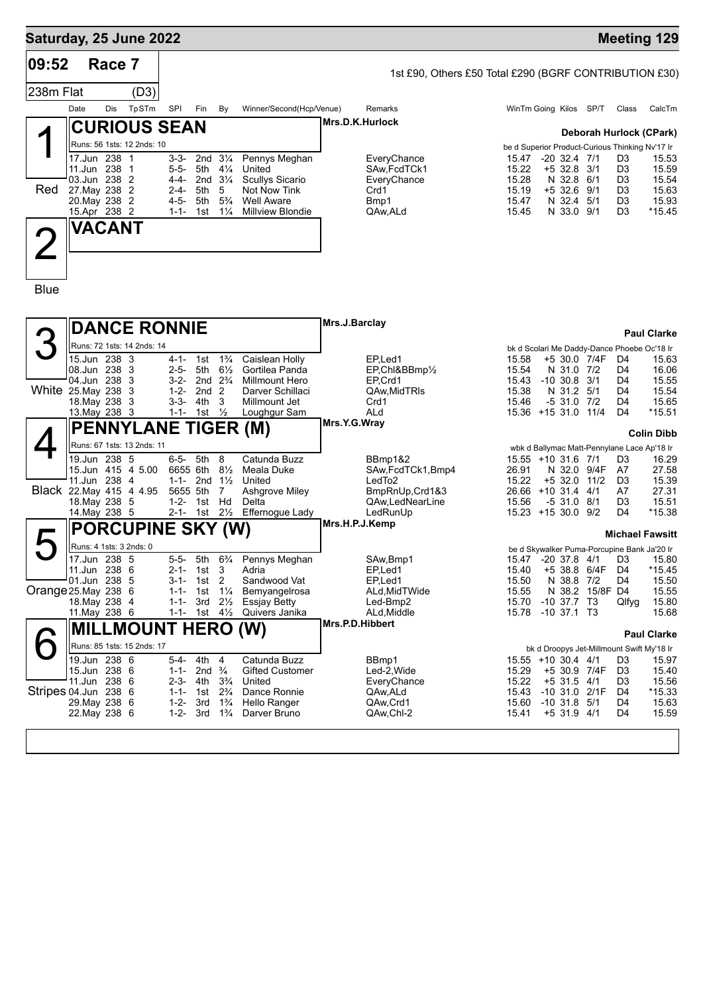## **Saturday, 25 June 2022 Meeting 129 Race 7** (D3) **09:52** 238m Flat 1st £90, Others £50 Total £290 (BGRF CONTRIBUTION £30) Date Dis TpSTm SPI Fin By Winner/Second(Hcp/Venue) Remarks Winth WinTm Going Kilos SP/T Class CalcTm 1 Red **CURIOUS SEAN** Runs: 56 1sts: 12 2nds: 10 **Deborah Hurlock (CPark)** be d Superior Product-Curious Thinking Nv'17 Ir **Mrs.D.K.Hurlock** 17.Jun 238 1 3-3- 2nd 3¼ Pennys Meghan EveryChance 15.47 -20 32.4 7/1 D3 15.53 11.Jun 238 1 5-5- 5th 4¼ United SAw,FcdTCk1 15.22 +5 32.8 3/1 D3 15.59 03.Jun 238 2 4-4- 2nd 3¼ Scullys Sicario EveryChance 15.28 N 32.8 6/1 D3 15.54 27.May 238 2 2-4- 5th 5 Not Now Tink Crd1 15.19 +5 32.6 9/1 D3 15.63 20.May 238 2 4-5- 5th 5¾ Well Aware Bmp1 15.47 N 32.4 5/1 D3 15.93 Millview Blondie 2 Blue **VACANT** 3 **White 25.May 238 DANCE RONNIE** Runs: 72 1sts: 14 2nds: 14 **Paul Clarke** bk d Scolari Me Daddy-Dance Phoebe Oc'18 Ir **Mrs.J.Barclay** 15.Jun 238 3 4-1- 1st 1¾ Caislean Holly EP,Led1 15.58 +5 30.0 7/4F D4 15.63 08.Jun 238 3 2-5- 5th 6½ Gortilea Panda EP,Chl&BBmp½ 15.54 N 31.0 7/2 D4 16.06 Millmount Hero 25.May 238 3 1-2- 2nd 2 Darver Schillaci QAw,MidTRls 15.38 N 31.2 5/1 D4 15.54 18.May 238 3 3-3- 4th 3 Millmount Jet Crd1 15.46 -5 31.0 7/2 D4 15.65 13.May 238 3 1-1- 1st ½ Loughgur Sam ALd 15.36 +15 31.0 11/4 D4 \*15.51 4 Black 22.May 415 4 4.95 5655 5th 7 Ashgrove Miley BmpRnUp,Crd1&3 26.66 +10 31.4 4/1 A7 27.31 **PENNYLANE TIGER (M)** Runs: 67 1sts: 13 2nds: 11 **Colin Dibb** wbk d Ballymac Matt-Pennylane Lace Ap'18 Ir **Mrs.Y.G.Wray** 19.Jun 238 5 6-5- 5th 8 Catunda Buzz BBmp1&2 15.55 +10 31.6 7/1 D3 16.29 SAw,FcdTCk1,Bmp4 26.91 N 32.0 9/4F A7 11.Jun 238 4 1-1- 2nd 1½ United LedTo2 15.22 +5 32.0 11/2 D3 15.39 18.May 238 5 1-2- 1st Hd Delta QAw,LedNearLine 15.56 -5 31.0 8/1 D3 15.51 14.May 238 5 2-1- 1st 2½ Effernogue Lady LedRunUp 15.23 +15 30.0 9/2 D4 \*15.38  $\blacktriangleright$ Orange 25. May 238 6<br>18. May 238 4 **PORCUPINE SKY (W)** Runs: 4 1sts: 3 2nds: 0 **Michael Fawsitt** be d Skywalker Puma-Porcupine Bank Ja'20 Ir **Mrs.H.P.J.Kemp** 17.Jun 238 5 5-5- 5th 6¾ Pennys Meghan SAw,Bmp1 15.47 -20 37.8 4/1 D3 15.80 11.Jun 238 6 2-1- 1st 3 Adria EP,Led1 15.40 +5 38.8 6/4F D4 \*15.45 01.Jun 238 5 3-1- 1st 2 Sandwood Vat EP,Led1 15.50 N 38.8 7/2 D4 15.50 25.May 238 6 1-1- 1st 1¼ Bemyangelrosa ALd,MidTWide 15.55 N 38.2 15/8F D4 15.55 18.May 238 4 1-1- 3rd 2½ Essjay Betty Led-Bmp2 15.70 -10 37.7 T3 Qlfyg 15.80 11. May 238 6 1-1- 1st 41/2 Quivers Janika **ALd, Middle 15.78 -10 37.1 T3** 15.68 6 Stripes 04.Jun 238 6 **MILLMOUNT HERO (W)** Runs: 85 1sts: 15 2nds: 17 **Paul Clarke** bk d Droopys Jet-Millmount Swift My'18 Ir **Mrs.P.D.Hibbert** 19.Jun 238 6 5-4- 4th 4 Catunda Buzz BBmp1 15.55 +10 30.4 4/1 D3 15.97 15.Jun 238 6 1-1- 2nd ¾ Gifted Customer Led-2,Wide 15.29 +5 30.9 7/4F D3 15.40 11.Jun 238 6 2-3- 4th 3¾ United EveryChance 15.22 +5 31.5 4/1 D3 15.56 04.Jun 238 6 1-1- 1st 2¾ Dance Ronnie QAw,ALd 15.43 -10 31.0 2/1F D4 \*15.33 29.May 238 6 1-2-22.May 238 6 1-2- 3rd 1¾ Darver Bruno QAw,Chl-2 15.41 +5 31.9 4/1 D4 15.59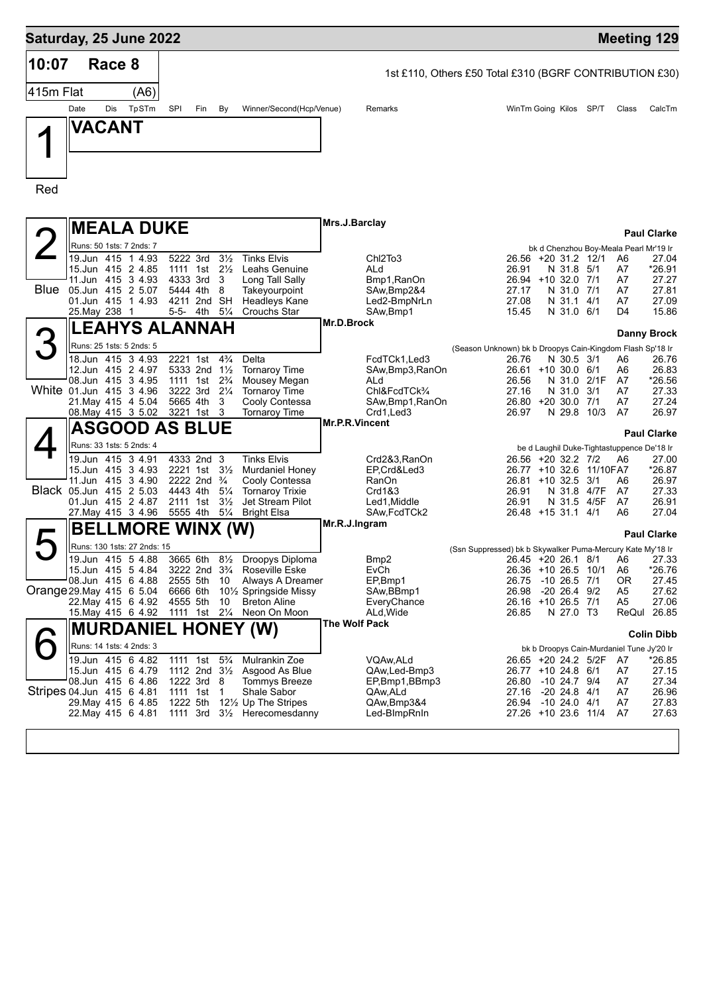| Saturday, 25 June 2022    |                                          |        |                             |                                        |     |                                  |                                                                                                          |                |                                                         |                                                            |                                              |            |                            |                                              | <b>Meeting 129</b>   |
|---------------------------|------------------------------------------|--------|-----------------------------|----------------------------------------|-----|----------------------------------|----------------------------------------------------------------------------------------------------------|----------------|---------------------------------------------------------|------------------------------------------------------------|----------------------------------------------|------------|----------------------------|----------------------------------------------|----------------------|
| 10:07                     |                                          | Race 8 |                             |                                        |     |                                  |                                                                                                          |                | 1st £110, Others £50 Total £310 (BGRF CONTRIBUTION £30) |                                                            |                                              |            |                            |                                              |                      |
| 415m Flat                 |                                          |        | (A6)                        |                                        |     |                                  |                                                                                                          |                |                                                         |                                                            |                                              |            |                            |                                              |                      |
|                           | Date                                     | Dis    | TpSTm                       | SPI                                    | Fin | By                               | Winner/Second(Hcp/Venue)                                                                                 |                | Remarks                                                 |                                                            | WinTm Going Kilos SP/T                       |            |                            | Class                                        | CalcTm               |
|                           | VACANT                                   |        |                             |                                        |     |                                  |                                                                                                          |                |                                                         |                                                            |                                              |            |                            |                                              |                      |
|                           |                                          |        |                             |                                        |     |                                  |                                                                                                          |                |                                                         |                                                            |                                              |            |                            |                                              |                      |
|                           |                                          |        |                             |                                        |     |                                  |                                                                                                          |                |                                                         |                                                            |                                              |            |                            |                                              |                      |
|                           |                                          |        |                             |                                        |     |                                  |                                                                                                          |                |                                                         |                                                            |                                              |            |                            |                                              |                      |
| Red                       |                                          |        |                             |                                        |     |                                  |                                                                                                          |                |                                                         |                                                            |                                              |            |                            |                                              |                      |
|                           |                                          |        |                             |                                        |     |                                  |                                                                                                          | Mrs.J.Barclay  |                                                         |                                                            |                                              |            |                            |                                              |                      |
|                           |                                          |        | <b>MEALA DUKE</b>           |                                        |     |                                  |                                                                                                          |                |                                                         |                                                            |                                              |            |                            |                                              | <b>Paul Clarke</b>   |
|                           | Runs: 50 1sts: 7 2nds: 7                 |        | 19.Jun 415 1 4.93           | 5222 3rd                               |     | $3\frac{1}{2}$                   | <b>Tinks Elvis</b>                                                                                       |                | Chl2To3                                                 |                                                            | 26.56 +20 31.2 12/1                          |            |                            | bk d Chenzhou Boy-Meala Pearl Mr'19 Ir<br>A6 | 27.04                |
|                           | 15.Jun 415 2 4.85                        |        |                             | 1111 1st                               |     | $2\frac{1}{2}$                   | Leahs Genuine                                                                                            |                | ALd                                                     |                                                            | 26.91                                        | N 31.8     | 5/1                        | A7                                           | *26.91               |
| <b>Blue</b>               | 11.Jun 415 3 4.93<br>05.Jun 415 2 5.07   |        |                             | 4333 3rd<br>5444 4th                   |     | 3<br>8                           | Long Tall Sally<br>Takeyourpoint                                                                         |                | Bmp1, RanOn<br>SAw, Bmp2&4                              |                                                            | 26.94 +10 32.0 7/1<br>27.17                  | N 31.0     | 7/1                        | A7<br>A7                                     | 27.27<br>27.81       |
|                           | 01.Jun 415 1 4.93                        |        |                             | 4211 2nd SH                            |     |                                  | <b>Headleys Kane</b>                                                                                     |                | Led2-BmpNrLn                                            |                                                            | 27.08                                        | N 31.1 4/1 |                            | A7                                           | 27.09                |
|                           | 25. May 238 1                            |        |                             | 5-5- 4th                               |     | $5\frac{1}{4}$                   | <b>Crouchs Star</b>                                                                                      | Mr.D.Brock     | SAw, Bmp1                                               |                                                            | 15.45                                        | N 31.0 6/1 |                            | D <sub>4</sub>                               | 15.86                |
|                           |                                          |        | EAHYS ALANNAH.              |                                        |     |                                  |                                                                                                          |                |                                                         |                                                            |                                              |            |                            |                                              | Danny Brock          |
|                           | Runs: 25 1sts: 5 2nds: 5                 |        |                             |                                        |     |                                  |                                                                                                          |                |                                                         | (Season Unknown) bk b Droopys Cain-Kingdom Flash Sp'18 Ir  |                                              |            |                            |                                              |                      |
|                           | 18.Jun 415 3 4.93<br>12.Jun 415 2 4.97   |        |                             | 2221 1st<br>5333 2nd 11/2              |     | $4\frac{3}{4}$                   | Delta<br><b>Tornaroy Time</b>                                                                            |                | FcdTCk1, Led3<br>SAw,Bmp3,RanOn                         |                                                            | 26.76<br>26.61 +10 30.0                      | N 30.5 3/1 | 6/1                        | A6<br>A6                                     | 26.76<br>26.83       |
|                           | 08.Jun 415 3 4.95                        |        |                             | 1111 1st                               |     | $2\frac{3}{4}$                   | Mousey Megan                                                                                             |                | ALd                                                     |                                                            | 26.56                                        | N 31.0     | 2/1F                       | A7                                           | *26.56               |
| White 01.Jun 415 3 4.96   | 21. May 415 4 5.04                       |        |                             | 3222 3rd<br>5665 4th                   |     | $2\frac{1}{4}$<br>3              | <b>Tornaroy Time</b><br>Cooly Contessa                                                                   |                | ChI&FcdTCk <sup>3</sup> /4<br>SAw,Bmp1,RanOn            |                                                            | 27.16<br>$26.80 + 20.30.0$                   | N 31.0     | 3/1<br>7/1                 | A7<br>A7                                     | 27.33<br>27.24       |
|                           | 08. May 415 3 5.02                       |        |                             | 3221 1st                               |     | 3                                | <b>Tornaroy Time</b>                                                                                     |                | Crd1,Led3                                               |                                                            | 26.97                                        |            | N 29.8 10/3                | A7                                           | 26.97                |
|                           |                                          |        | <b>ASGOOD AS BLUE</b>       |                                        |     |                                  |                                                                                                          | Mr.P.R.Vincent |                                                         |                                                            |                                              |            |                            |                                              | <b>Paul Clarke</b>   |
|                           | Runs: 33 1sts: 5 2nds: 4                 |        |                             |                                        |     |                                  |                                                                                                          |                |                                                         |                                                            |                                              |            |                            | be d Laughil Duke-Tightastuppence De'18 Ir   |                      |
|                           | 19.Jun 415 3 4.91<br>15.Jun 415 3 4.93   |        |                             | 4333 2nd 3<br>2221 1st                 |     | $3\frac{1}{2}$                   | <b>Tinks Elvis</b><br><b>Murdaniel Honey</b>                                                             |                | Crd2&3,RanOn<br>EP,Crd&Led3                             |                                                            | 26.56 +20 32.2 7/2                           |            | 26.77 +10 32.6 11/10FA7    | A6                                           | 27.00<br>*26.87      |
|                           |                                          |        | 11.Jun 415 34.90            | 2222 2nd $\frac{3}{4}$                 |     |                                  | Cooly Contessa                                                                                           |                | RanOn                                                   |                                                            | $26.81 + 10.32.5$                            |            | 3/1                        | A6                                           | 26.97                |
| Black 05.Jun 415 2 5.03   | 01.Jun 415 2 4.87                        |        |                             | 4443 4th<br>2111 1st                   |     | $5\frac{1}{4}$<br>$3\frac{1}{2}$ | <b>Tornaroy Trixie</b><br>Jet Stream Pilot                                                               |                | Crd1&3<br>Led1.Middle                                   |                                                            | 26.91<br>26.91                               |            | N 31.8 4/7F<br>N 31.5 4/5F | A7<br>A7                                     | 27.33<br>26.91       |
|                           | 27. May 415 3 4.96                       |        |                             | 5555 4th                               |     | $5\frac{1}{4}$                   | Bright Elsa                                                                                              |                | SAw,FcdTCk2                                             |                                                            | 26.48 +15 31.1 4/1                           |            |                            | A6                                           | 27.04                |
|                           |                                          |        | <b>BELLMORE WINX (W)</b>    |                                        |     |                                  |                                                                                                          | Mr.R.J.Ingram  |                                                         |                                                            |                                              |            |                            |                                              | <b>Paul Clarke</b>   |
|                           |                                          |        | Runs: 130 1sts: 27 2nds: 15 |                                        |     |                                  |                                                                                                          |                |                                                         | (Ssn Suppressed) bk b Skywalker Puma-Mercury Kate My'18 Ir |                                              |            |                            |                                              |                      |
|                           |                                          |        |                             |                                        |     |                                  | 19.Jun 415 5 4.88 3665 6th 81/2 Droopys Diploma<br>3222 2nd 3 <sup>3</sup> / <sub>4</sub> Roseville Eske |                | Bmp2                                                    |                                                            | 26.45 +20 26.1 8/1 A6<br>26.36 +10 26.5 10/1 |            |                            |                                              | 27.33<br>$*26.76$    |
|                           | 08.Jun 415 6 4.88                        |        | 15.Jun 415 5 4.84           | 2555 5th 10                            |     |                                  | Always A Dreamer                                                                                         |                | EvCh<br>EP,Bmp1                                         |                                                            | 26.75 -10 26.5 7/1                           |            |                            | A6<br>0R                                     | 27.45                |
| Orange 29. May 415 6 5.04 | 22. May 415 6 4.92                       |        |                             |                                        |     |                                  | 6666 6th 101/2 Springside Missy<br><b>Breton Aline</b>                                                   |                | SAw, BBmp1                                              |                                                            | 26.98 -20 26.4 9/2<br>26.16 +10 26.5 7/1     |            |                            | A <sub>5</sub>                               | 27.62                |
|                           | 15. May 415 6 4.92                       |        |                             | 4555 5th                               |     | 10                               | 1111 1st 21/4 Neon On Moon                                                                               |                | EveryChance<br>ALd, Wide                                |                                                            | 26.85                                        | N 27.0 T3  |                            | A <sub>5</sub>                               | 27.06<br>ReQul 26.85 |
|                           |                                          |        |                             |                                        |     |                                  | <b>MURDANIEL HONEY (W)</b>                                                                               | The Wolf Pack  |                                                         |                                                            |                                              |            |                            |                                              | <b>Colin Dibb</b>    |
|                           | Runs: 14 1sts: 4 2nds: 3                 |        |                             |                                        |     |                                  |                                                                                                          |                |                                                         |                                                            |                                              |            |                            | bk b Droopys Cain-Murdaniel Tune Jy'20 Ir    |                      |
|                           | 19.Jun 415 6 4.82                        |        |                             | 1111 1st 5 <sup>3</sup> / <sub>4</sub> |     |                                  | Mulrankin Zoe                                                                                            |                | VQAw, ALd                                               |                                                            | 26.65 +20 24.2 5/2F                          |            |                            | A7                                           | *26.85               |
|                           | 15 Jun 415 6 4.79<br>08.Jun 415 6 4.86   |        |                             | 1222 3rd 8                             |     |                                  | 1112 2nd $3\frac{1}{2}$ Asgood As Blue<br>Tommys Breeze                                                  |                | QAw,Led-Bmp3<br>EP,Bmp1,BBmp3                           |                                                            | 26.77 +10 24.8 6/1<br>26.80 -10 24.7 9/4     |            |                            | A7<br>A7                                     | 27.15<br>27.34       |
| Stripes 04.Jun 415 6 4.81 |                                          |        |                             | 1111 1st                               |     | $\overline{1}$                   | Shale Sabor                                                                                              |                | QAw,ALd                                                 |                                                            | 27.16 -20 24.8 4/1                           |            |                            | A7                                           | 26.96                |
|                           | 29. May 415 6 4.85<br>22. May 415 6 4.81 |        |                             | 1222 5th                               |     |                                  | 12½ Up The Stripes<br>1111 3rd 3 <sup>1</sup> / <sub>2</sub> Herecomesdanny                              |                | QAw,Bmp3&4<br>Led-BImpRnIn                              |                                                            | 26.94 -10 24.0 4/1<br>27.26 +10 23.6 11/4    |            |                            | A7<br>A7                                     | 27.83<br>27.63       |
|                           |                                          |        |                             |                                        |     |                                  |                                                                                                          |                |                                                         |                                                            |                                              |            |                            |                                              |                      |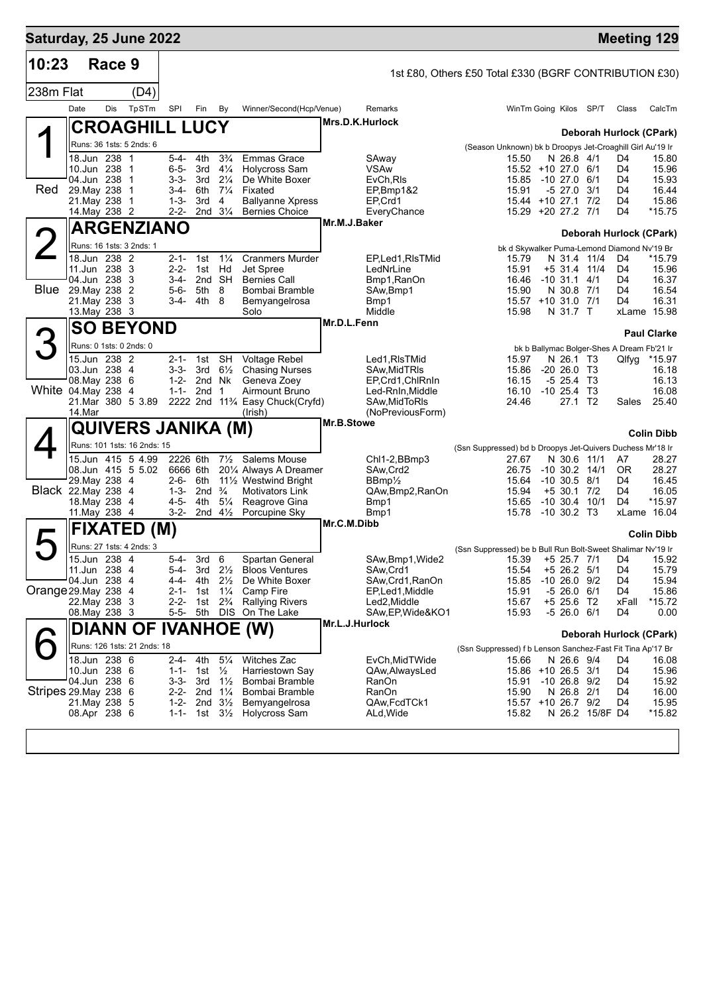| Saturday, 25 June 2022 |                               |        |                             |                        |                                             |                                   |                                                          |                 |                                         |                                                             |                |                                          |                 |                                                   | <b>Meeting 129</b>                  |
|------------------------|-------------------------------|--------|-----------------------------|------------------------|---------------------------------------------|-----------------------------------|----------------------------------------------------------|-----------------|-----------------------------------------|-------------------------------------------------------------|----------------|------------------------------------------|-----------------|---------------------------------------------------|-------------------------------------|
| 10:23                  |                               | Race 9 |                             |                        |                                             |                                   |                                                          |                 |                                         | 1st £80, Others £50 Total £330 (BGRF CONTRIBUTION £30)      |                |                                          |                 |                                                   |                                     |
| 238m Flat              |                               |        | (D4)                        |                        |                                             |                                   |                                                          |                 |                                         |                                                             |                |                                          |                 |                                                   |                                     |
|                        | Date                          | Dis    | TpSTm                       | SPI                    | Fin                                         | By                                | Winner/Second(Hcp/Venue)                                 |                 | Remarks                                 |                                                             |                | WinTm Going Kilos SP/T                   |                 | Class                                             | CalcTm                              |
|                        |                               |        | <b>CROAGHILL LUCY</b>       |                        |                                             |                                   |                                                          | Mrs.D.K.Hurlock |                                         |                                                             |                |                                          |                 |                                                   | Deborah Hurlock (CPark)             |
|                        |                               |        | Runs: 36 1sts: 5 2nds: 6    |                        |                                             |                                   |                                                          |                 |                                         | (Season Unknown) bk b Droopys Jet-Croaghill Girl Au'19 Ir   |                |                                          |                 |                                                   |                                     |
|                        | 18.Jun 238 1                  |        |                             | 5-4-                   | 4th                                         | $3\frac{3}{4}$                    | <b>Emmas Grace</b>                                       |                 | SAway                                   |                                                             | 15.50          | N 26.8 4/1                               |                 | D4                                                | 15.80                               |
|                        | 10.Jun 238<br>04.Jun 238      |        | -1<br>1                     | $6 - 5 -$<br>3-3-      | 3rd<br>3rd                                  | $4\frac{1}{4}$<br>$2\frac{1}{4}$  | Holycross Sam<br>De White Boxer                          |                 | VSAw<br>EvCh, RIs                       |                                                             | 15.85          | 15.52 +10 27.0 6/1<br>$-1027.0$          | 6/1             | D4<br>D4                                          | 15.96<br>15.93                      |
| <b>Red</b>             | 29. May 238                   |        | 1                           | $3-4-$                 | 6th                                         | $7\frac{1}{4}$                    | Fixated                                                  |                 | EP,Bmp1&2                               |                                                             | 15.91          | $-527.0$                                 | 3/1             | D4                                                | 16.44                               |
|                        | 21.May 238<br>14. May 238 2   |        | 1                           | $1 - 3 -$<br>$2 - 2 -$ | 3rd                                         | 4<br>2nd $3\frac{1}{4}$           | <b>Ballyanne Xpress</b><br><b>Bernies Choice</b>         |                 | EP,Crd1<br>EveryChance                  |                                                             |                | 15.44 +10 27.1 7/2<br>15.29 +20 27.2 7/1 |                 | D4<br>D4                                          | 15.86<br>$*15.75$                   |
|                        |                               |        | <b>ARGENZIANO</b>           |                        |                                             |                                   |                                                          | Mr.M.J.Baker    |                                         |                                                             |                |                                          |                 |                                                   |                                     |
|                        |                               |        |                             |                        |                                             |                                   |                                                          |                 |                                         |                                                             |                |                                          |                 |                                                   | Deborah Hurlock (CPark)             |
|                        | 18.Jun 238 2                  |        | Runs: 16 1sts: 3 2nds: 1    | $2 - 1 -$              | 1st                                         | $1\frac{1}{4}$                    | <b>Cranmers Murder</b>                                   |                 | EP, Led 1, RIs TMid                     |                                                             | 15.79          | N 31.4 11/4                              |                 | bk d Skywalker Puma-Lemond Diamond Nv'19 Br<br>D4 | *15.79                              |
|                        | 11.Jun 238 3                  |        |                             | $2 - 2 -$              | 1st                                         | Hd                                | Jet Spree                                                |                 | LedNrLine                               |                                                             | 15.91          | +5 31.4 11/4                             |                 | D4                                                | 15.96                               |
| <b>Blue</b>            | 04.Jun 238 3                  |        |                             | 3-4-<br>5-6-           | 5th 8                                       | 2nd SH                            | <b>Bernies Call</b>                                      |                 | Bmp1, RanOn                             |                                                             | 16.46<br>15.90 | $-10$ 31.1 4/1                           |                 | D4<br>D4                                          | 16.37<br>16.54                      |
|                        | 29. May 238<br>21. May 238 3  |        | -2                          | 3-4-                   | 4th 8                                       |                                   | Bombai Bramble<br>Bemyangelrosa                          |                 | SAw,Bmp1<br>Bmp1                        |                                                             |                | N 30.8 7/1<br>15.57 +10 31.0 7/1         |                 | D4                                                | 16.31                               |
|                        | 13. May 238 3                 |        |                             |                        |                                             |                                   | Solo                                                     |                 | Middle                                  |                                                             | 15.98          | N 31.7 T                                 |                 |                                                   | xLame 15.98                         |
|                        |                               |        | <b>SO BEYOND</b>            |                        |                                             |                                   |                                                          | Mr.D.L.Fenn     |                                         |                                                             |                |                                          |                 |                                                   | <b>Paul Clarke</b>                  |
|                        |                               |        | Runs: 0 1sts: 0 2nds: 0     |                        |                                             |                                   |                                                          |                 |                                         |                                                             |                |                                          |                 | bk b Ballymac Bolger-Shes A Dream Fb'21 Ir        |                                     |
|                        | 15.Jun 238 2                  |        |                             | $2 - 1 -$              | 1st                                         | <b>SH</b>                         | <b>Voltage Rebel</b>                                     |                 | Led1, RIsTMid                           |                                                             | 15.97          | N 26.1 T3                                |                 | Qlfyg                                             | $*15.97$                            |
|                        | 03.Jun 238 4<br>08. May 238 6 |        |                             | 3-3-<br>$1 - 2 -$      | 3rd<br>2nd Nk                               | $6\frac{1}{2}$                    | <b>Chasing Nurses</b><br>Geneva Zoey                     |                 | SAw, Mid TRIs<br>EP, Crd1, ChlRnIn      |                                                             | 15.86<br>16.15 | $-20, 26.0, 73$<br>-5 25.4               | - тз            |                                                   | 16.18<br>16.13                      |
| White 04. May 238 4    |                               |        |                             | $1 - 1 -$              | 2nd                                         | $\mathbf 1$                       | Airmount Bruno                                           |                 | Led-RnIn, Middle                        |                                                             | 16.10          | $-10, 25.4$                              | — ТЗ            |                                                   | 16.08                               |
|                        | 14.Mar                        |        | 21.Mar 380 5 3.89           |                        |                                             |                                   | 2222 2nd 11 <sup>3</sup> /4 Easy Chuck(Cryfd)<br>(Irish) |                 | SAw, Mid To RIs<br>(NoPreviousForm)     |                                                             | 24.46          | 27.1 T <sub>2</sub>                      |                 | Sales                                             | 25.40                               |
|                        |                               |        | QUIVERS JANIKA (M)          |                        |                                             |                                   |                                                          | Mr.B.Stowe      |                                         |                                                             |                |                                          |                 |                                                   |                                     |
|                        |                               |        | Runs: 101 1sts: 16 2nds: 15 |                        |                                             |                                   |                                                          |                 |                                         |                                                             |                |                                          |                 |                                                   | <b>Colin Dibb</b>                   |
|                        |                               |        | 15.Jun 415 5 4.99           | 2226 6th               |                                             | $7\frac{1}{2}$                    | Salems Mouse                                             |                 | Chl1-2,BBmp3                            | (Ssn Suppressed) bd b Droopys Jet-Quivers Duchess Mr'18 Ir  | 27.67          | N 30.6 11/1                              |                 | A7                                                | 28.27                               |
|                        |                               |        | 08.Jun 415 5 5.02           | 6666 6th               |                                             |                                   | 201/4 Always A Dreamer                                   |                 | SAw, Crd2                               |                                                             | 26.75          | $-10$ 30.2 $14/1$                        |                 | 0R                                                | 28.27                               |
| Black 22. May 238 4    | 29. May 238                   |        | -4                          | $2 - 6 -$<br>$1 - 3 -$ | 6th<br>2nd                                  | $\frac{3}{4}$                     | 111/2 Westwind Bright<br><b>Motivators Link</b>          |                 | $BBmp\frac{\pi}{2}$<br>QAw, Bmp2, RanOn |                                                             | 15.64<br>15.94 | $-10, 30.5, 8/1$<br>$+5$ 30.1            | 7/2             | D4<br>D4                                          | 16.45<br>16.05                      |
|                        | 18. May 238 4                 |        |                             | $4 - 5 -$              | 4th                                         | $5\frac{1}{4}$                    | Reagrove Gina                                            |                 | Bmp1                                    |                                                             | 15.65          | $-10$ 30.4                               | 10/1            | D <sub>4</sub>                                    | *15.97                              |
|                        | 11. May 238 4                 |        |                             | 3-2-                   |                                             | 2nd $4\frac{1}{2}$                | Porcupine Sky                                            |                 | Bmp1                                    |                                                             | 15.78          | $-10$ 30.2 T3                            |                 |                                                   | xLame 16.04                         |
|                        | <b>FIXATED</b>                |        |                             | (M)                    |                                             |                                   |                                                          | Mr.C.M.Dibb     |                                         |                                                             |                |                                          |                 |                                                   | <b>Colin Dibb</b>                   |
|                        |                               |        | Runs: 27 1sts: 4 2nds: 3    |                        |                                             |                                   |                                                          |                 |                                         | (Ssn Suppressed) be b Bull Run Bolt-Sweet Shalimar Nv'19 Ir |                |                                          |                 |                                                   |                                     |
|                        | 15.Jun 238 4<br>11.Jun 238 4  |        |                             | $5 - 4$                | 3rd <sub>6</sub><br>5-4- 3rd $2\frac{1}{2}$ |                                   | Spartan General<br><b>Bloos Ventures</b>                 |                 | SAw, Bmp1, Wide2<br>SAw, Crd1           |                                                             | 15.54          | $+5$ 26.2 $5/1$                          |                 | D4                                                | 15.39 +5 25.7 7/1 D4 15.92<br>15.79 |
|                        | 04.Jun 238 4                  |        |                             | 4-4-                   | 4th 2½                                      |                                   | De White Boxer                                           |                 | SAw, Crd1, RanOn                        |                                                             | 15.85          | $-10, 26.0, 9/2$                         |                 | D4                                                | 15.94                               |
| Orange 29. May 238 4   |                               |        |                             | $2 - 1 -$              | 1st                                         | $1\frac{1}{4}$                    | Camp Fire                                                |                 | EP,Led1, Middle                         |                                                             | 15.91          | $-526.06/1$                              |                 | D4                                                | 15.86                               |
|                        | 22.May 238 3<br>08. May 238 3 |        |                             | $2 - 2 -$              |                                             | 1st 2 <sup>3</sup> / <sub>4</sub> | <b>Rallying Rivers</b><br>5-5- 5th DIS On The Lake       |                 | Led2,Middle<br>SAw, EP, Wide&KO1        |                                                             | 15.67<br>15.93 | +5 25.6 T2<br>-5 26.0 6/1                |                 | xFall<br>D4                                       | *15.72<br>0.00                      |
|                        |                               |        |                             |                        |                                             |                                   | DIANN OF IVANHOE (W)                                     | Mr.L.J.Hurlock  |                                         |                                                             |                |                                          |                 |                                                   |                                     |
|                        |                               |        | Runs: 126 1sts: 21 2nds: 18 |                        |                                             |                                   |                                                          |                 |                                         |                                                             |                |                                          |                 |                                                   | Deborah Hurlock (CPark)             |
|                        | 18.Jun 238 6                  |        |                             | 2-4-                   | 4th                                         | $5\frac{1}{4}$                    | Witches Zac                                              |                 | EvCh, Mid TWide                         | (Ssn Suppressed) f b Lenson Sanchez-Fast Fit Tina Ap'17 Br  | 15.66          | N 26.6 9/4                               |                 | D4                                                | 16.08                               |
|                        | 10.Jun 238 6                  |        |                             |                        | 1-1- 1st $\frac{1}{2}$                      |                                   | Harriestown Say                                          |                 | QAw, Always Led                         |                                                             |                | 15.86 +10 26.5 3/1                       |                 | D4                                                | 15.96                               |
| Stripes 29. May 238 6  | 04.Jun 238 6                  |        |                             | 3-3-                   | 3rd                                         | $1\frac{1}{2}$                    | Bombai Bramble<br>2-2- 2nd 11/4 Bombai Bramble           |                 | RanOn<br>RanOn                          |                                                             | 15.91<br>15.90 | $-10$ 26.8 $9/2$<br>N 26.8 2/1           |                 | D4<br>D4                                          | 15.92                               |
|                        | 21. May 238 5                 |        |                             | 1-2-                   | 2nd $3\frac{1}{2}$                          |                                   | Bemyangelrosa                                            |                 | QAw,FcdTCk1                             |                                                             |                | 15.57 +10 26.7 9/2                       |                 | D4                                                | 16.00<br>15.95                      |
|                        | 08.Apr 238 6                  |        |                             |                        |                                             |                                   | 1-1- 1st 3 <sup>1</sup> / <sub>2</sub> Holycross Sam     |                 | ALd, Wide                               |                                                             | 15.82          |                                          | N 26.2 15/8F D4 |                                                   | *15.82                              |
|                        |                               |        |                             |                        |                                             |                                   |                                                          |                 |                                         |                                                             |                |                                          |                 |                                                   |                                     |
|                        |                               |        |                             |                        |                                             |                                   |                                                          |                 |                                         |                                                             |                |                                          |                 |                                                   |                                     |